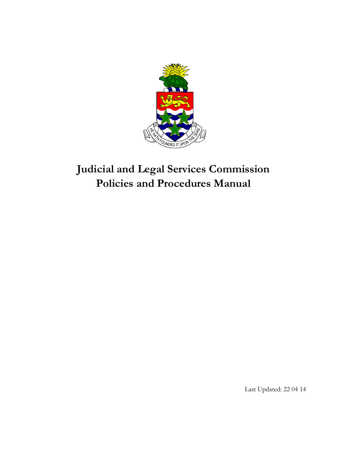

## **Judicial and Legal Services Commission Policies and Procedures Manual**

Last Updated: 22 04 14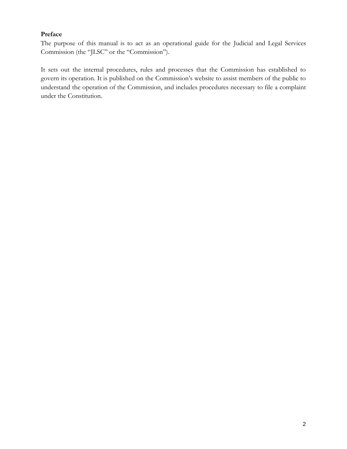#### **Preface**

The purpose of this manual is to act as an operational guide for the Judicial and Legal Services Commission (the "JLSC" or the "Commission").

It sets out the internal procedures, rules and processes that the Commission has established to govern its operation. It is published on the Commission's website to assist members of the public to understand the operation of the Commission, and includes procedures necessary to file a complaint under the Constitution.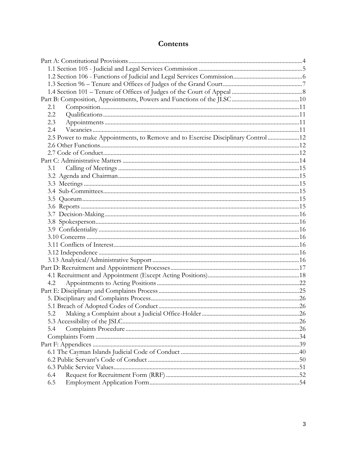#### Contents

| 2.1                                                                               |  |
|-----------------------------------------------------------------------------------|--|
| 2.2                                                                               |  |
| 2.3                                                                               |  |
| 2.4                                                                               |  |
| 2.5 Power to make Appointments, to Remove and to Exercise Disciplinary Control 12 |  |
|                                                                                   |  |
|                                                                                   |  |
|                                                                                   |  |
| 3.1                                                                               |  |
|                                                                                   |  |
|                                                                                   |  |
|                                                                                   |  |
|                                                                                   |  |
|                                                                                   |  |
|                                                                                   |  |
|                                                                                   |  |
|                                                                                   |  |
|                                                                                   |  |
|                                                                                   |  |
|                                                                                   |  |
|                                                                                   |  |
|                                                                                   |  |
|                                                                                   |  |
| 4.2                                                                               |  |
|                                                                                   |  |
|                                                                                   |  |
|                                                                                   |  |
| 5.2                                                                               |  |
|                                                                                   |  |
| 5.4                                                                               |  |
|                                                                                   |  |
|                                                                                   |  |
|                                                                                   |  |
|                                                                                   |  |
|                                                                                   |  |
| 6.4                                                                               |  |
| 6.5                                                                               |  |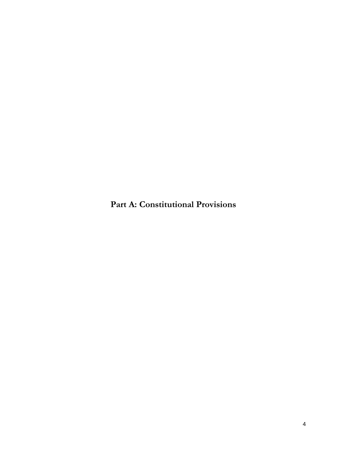<span id="page-3-0"></span>**Part A: Constitutional Provisions**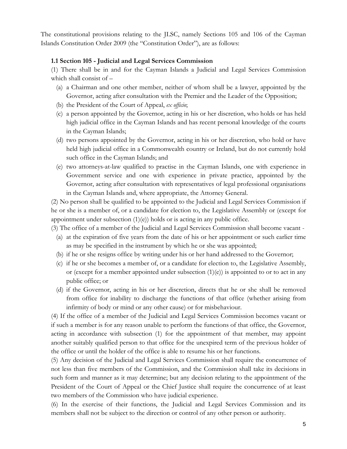The constitutional provisions relating to the JLSC, namely Sections 105 and 106 of the Cayman Islands Constitution Order 2009 (the "Constitution Order"), are as follows:

#### <span id="page-4-0"></span>**1.1 Section 105 - Judicial and Legal Services Commission**

(1) There shall be in and for the Cayman Islands a Judicial and Legal Services Commission which shall consist of –

- (a) a Chairman and one other member, neither of whom shall be a lawyer, appointed by the Governor, acting after consultation with the Premier and the Leader of the Opposition;
- (b) the President of the Court of Appeal, *ex officio*;
- (c) a person appointed by the Governor, acting in his or her discretion, who holds or has held high judicial office in the Cayman Islands and has recent personal knowledge of the courts in the Cayman Islands;
- (d) two persons appointed by the Governor, acting in his or her discretion, who hold or have held high judicial office in a Commonwealth country or Ireland, but do not currently hold such office in the Cayman Islands; and
- (e) two attorneys-at-law qualified to practise in the Cayman Islands, one with experience in Government service and one with experience in private practice, appointed by the Governor, acting after consultation with representatives of legal professional organisations in the Cayman Islands and, where appropriate, the Attorney General.

(2) No person shall be qualified to be appointed to the Judicial and Legal Services Commission if he or she is a member of, or a candidate for election to, the Legislative Assembly or (except for appointment under subsection  $(1)(e)$ ) holds or is acting in any public office.

(3) The office of a member of the Judicial and Legal Services Commission shall become vacant -

- (a) at the expiration of five years from the date of his or her appointment or such earlier time as may be specified in the instrument by which he or she was appointed;
- (b) if he or she resigns office by writing under his or her hand addressed to the Governor;
- (c) if he or she becomes a member of, or a candidate for election to, the Legislative Assembly, or (except for a member appointed under subsection  $(1)(e)$ ) is appointed to or to act in any public office; or
- (d) if the Governor, acting in his or her discretion, directs that he or she shall be removed from office for inability to discharge the functions of that office (whether arising from infirmity of body or mind or any other cause) or for misbehaviour.

(4) If the office of a member of the Judicial and Legal Services Commission becomes vacant or if such a member is for any reason unable to perform the functions of that office, the Governor, acting in accordance with subsection (1) for the appointment of that member, may appoint another suitably qualified person to that office for the unexpired term of the previous holder of the office or until the holder of the office is able to resume his or her functions.

(5) Any decision of the Judicial and Legal Services Commission shall require the concurrence of not less than five members of the Commission, and the Commission shall take its decisions in such form and manner as it may determine; but any decision relating to the appointment of the President of the Court of Appeal or the Chief Justice shall require the concurrence of at least two members of the Commission who have judicial experience.

(6) In the exercise of their functions, the Judicial and Legal Services Commission and its members shall not be subject to the direction or control of any other person or authority.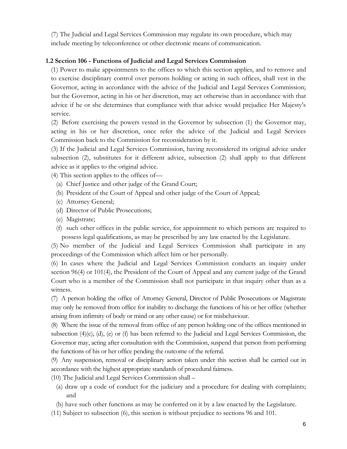(7) The Judicial and Legal Services Commission may regulate its own procedure, which may include meeting by teleconference or other electronic means of communication.

#### <span id="page-5-0"></span>**1.2 Section 106 - Functions of Judicial and Legal Services Commission**

(1) Power to make appointments to the offices to which this section applies, and to remove and to exercise disciplinary control over persons holding or acting in such offices, shall vest in the Governor, acting in accordance with the advice of the Judicial and Legal Services Commission; but the Governor, acting in his or her discretion, may act otherwise than in accordance with that advice if he or she determines that compliance with that advice would prejudice Her Majesty's service.

(2) Before exercising the powers vested in the Governor by subsection (1) the Governor may, acting in his or her discretion, once refer the advice of the Judicial and Legal Services Commission back to the Commission for reconsideration by it.

(3) If the Judicial and Legal Services Commission, having reconsidered its original advice under subsection (2), substitutes for it different advice, subsection (2) shall apply to that different advice as it applies to the original advice.

(4) This section applies to the offices of—

- (a) Chief Justice and other judge of the Grand Court;
- (b) President of the Court of Appeal and other judge of the Court of Appeal;
- (c) Attorney General;
- (d) Director of Public Prosecutions;
- (e) Magistrate;
- (f) such other offices in the public service, for appointment to which persons are required to possess legal qualifications, as may be prescribed by any law enacted by the Legislature.

(5) No member of the Judicial and Legal Services Commission shall participate in any proceedings of the Commission which affect him or her personally.

(6) In cases where the Judicial and Legal Services Commission conducts an inquiry under section 96(4) or 101(4), the President of the Court of Appeal and any current judge of the Grand Court who is a member of the Commission shall not participate in that inquiry other than as a witness.

(7) A person holding the office of Attorney General, Director of Public Prosecutions or Magistrate may only be removed from office for inability to discharge the functions of his or her office (whether arising from infirmity of body or mind or any other cause) or for misbehaviour.

(8) Where the issue of the removal from office of any person holding one of the offices mentioned in subsection (4)(c), (d), (e) or (f) has been referred to the Judicial and Legal Services Commission, the Governor may, acting after consultation with the Commission, suspend that person from performing the functions of his or her office pending the outcome of the referral.

(9) Any suspension, removal or disciplinary action taken under this section shall be carried out in accordance with the highest appropriate standards of procedural fairness.

(10) The Judicial and Legal Services Commission shall –

- (a) draw up a code of conduct for the judiciary and a procedure for dealing with complaints; and
- (b) have such other functions as may be conferred on it by a law enacted by the Legislature.
- (11) Subject to subsection (6), this section is without prejudice to sections 96 and 101.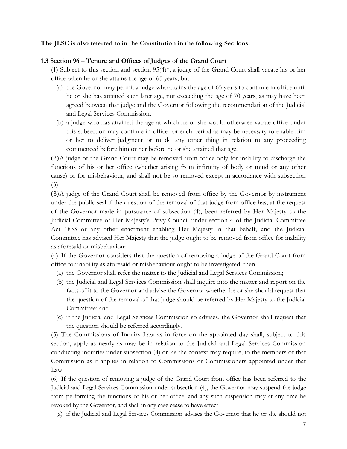#### **The JLSC is also referred to in the Constitution in the following Sections:**

#### <span id="page-6-0"></span>**1.3 Section 96 – Tenure and Offices of Judges of the Grand Court**

(1) Subject to this section and section 95(4)\*, a judge of the Grand Court shall vacate his or her office when he or she attains the age of 65 years; but -

- (a) the Governor may permit a judge who attains the age of 65 years to continue in office until he or she has attained such later age, not exceeding the age of 70 years, as may have been agreed between that judge and the Governor following the recommendation of the Judicial and Legal Services Commission;
- (b) a judge who has attained the age at which he or she would otherwise vacate office under this subsection may continue in office for such period as may be necessary to enable him or her to deliver judgment or to do any other thing in relation to any proceeding commenced before him or her before he or she attained that age.

(2)A judge of the Grand Court may be removed from office only for inability to discharge the functions of his or her office (whether arising from infirmity of body or mind or any other cause) or for misbehaviour, and shall not be so removed except in accordance with subsection (3).

(3)A judge of the Grand Court shall be removed from office by the Governor by instrument under the public seal if the question of the removal of that judge from office has, at the request of the Governor made in pursuance of subsection (4), been referred by Her Majesty to the Judicial Committee of Her Majesty's Privy Council under section 4 of the Judicial Committee Act 1833 or any other enactment enabling Her Majesty in that behalf, and the Judicial Committee has advised Her Majesty that the judge ought to be removed from office for inability as aforesaid or misbehaviour.

(4) If the Governor considers that the question of removing a judge of the Grand Court from office for inability as aforesaid or misbehaviour ought to be investigated, then-

- (a) the Governor shall refer the matter to the Judicial and Legal Services Commission;
- (b) the Judicial and Legal Services Commission shall inquire into the matter and report on the facts of it to the Governor and advise the Governor whether he or she should request that the question of the removal of that judge should be referred by Her Majesty to the Judicial Committee; and
- (c) if the Judicial and Legal Services Commission so advises, the Governor shall request that the question should be referred accordingly.

(5) The Commissions of Inquiry Law as in force on the appointed day shall, subject to this section, apply as nearly as may be in relation to the Judicial and Legal Services Commission conducting inquiries under subsection (4) or, as the context may require, to the members of that Commission as it applies in relation to Commissions or Commissioners appointed under that Law.

(6) If the question of removing a judge of the Grand Court from office has been referred to the Judicial and Legal Services Commission under subsection (4), the Governor may suspend the judge from performing the functions of his or her office, and any such suspension may at any time be revoked by the Governor, and shall in any case cease to have effect –

(a) if the Judicial and Legal Services Commission advises the Governor that he or she should not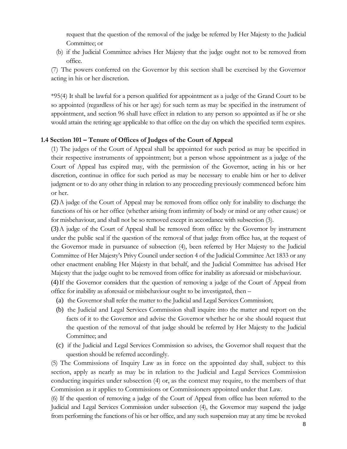request that the question of the removal of the judge be referred by Her Majesty to the Judicial Committee; or

(b) if the Judicial Committee advises Her Majesty that the judge ought not to be removed from office.

(7) The powers conferred on the Governor by this section shall be exercised by the Governor acting in his or her discretion.

\*95(4) It shall be lawful for a person qualified for appointment as a judge of the Grand Court to be so appointed (regardless of his or her age) for such term as may be specified in the instrument of appointment, and section 96 shall have effect in relation to any person so appointed as if he or she would attain the retiring age applicable to that office on the day on which the specified term expires.

#### <span id="page-7-0"></span>**1.4 Section 101 – Tenure of Offices of Judges of the Court of Appeal**

(1) The judges of the Court of Appeal shall be appointed for such period as may be specified in their respective instruments of appointment; but a person whose appointment as a judge of the Court of Appeal has expired may, with the permission of the Governor, acting in his or her discretion, continue in office for such period as may be necessary to enable him or her to deliver judgment or to do any other thing in relation to any proceeding previously commenced before him or her.

(2)A judge of the Court of Appeal may be removed from office only for inability to discharge the functions of his or her office (whether arising from infirmity of body or mind or any other cause) or for misbehaviour, and shall not be so removed except in accordance with subsection (3).

(3)A judge of the Court of Appeal shall be removed from office by the Governor by instrument under the public seal if the question of the removal of that judge from office has, at the request of the Governor made in pursuance of subsection (4), been referred by Her Majesty to the Judicial Committee of Her Majesty's Privy Council under section 4 of the Judicial Committee Act 1833 or any other enactment enabling Her Majesty in that behalf, and the Judicial Committee has advised Her Majesty that the judge ought to be removed from office for inability as aforesaid or misbehaviour.

(4)If the Governor considers that the question of removing a judge of the Court of Appeal from office for inability as aforesaid or misbehaviour ought to be investigated, then –

- (a) the Governor shall refer the matter to the Judicial and Legal Services Commission;
- (b) the Judicial and Legal Services Commission shall inquire into the matter and report on the facts of it to the Governor and advise the Governor whether he or she should request that the question of the removal of that judge should be referred by Her Majesty to the Judicial Committee; and
- (c) if the Judicial and Legal Services Commission so advises, the Governor shall request that the question should be referred accordingly.

(5) The Commissions of Inquiry Law as in force on the appointed day shall, subject to this section, apply as nearly as may be in relation to the Judicial and Legal Services Commission conducting inquiries under subsection (4) or, as the context may require, to the members of that Commission as it applies to Commissions or Commissioners appointed under that Law.

(6) If the question of removing a judge of the Court of Appeal from office has been referred to the Judicial and Legal Services Commission under subsection (4), the Governor may suspend the judge from performing the functions of his or her office, and any such suspension may at any time be revoked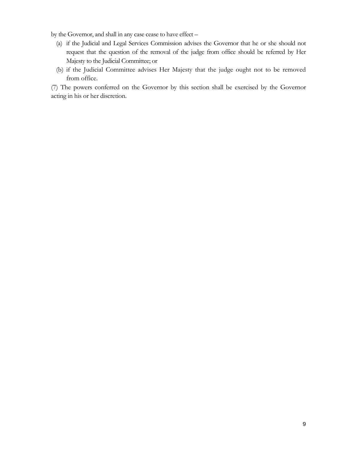by the Governor, and shall in any case cease to have effect –

- (a) if the Judicial and Legal Services Commission advises the Governor that he or she should not request that the question of the removal of the judge from office should be referred by Her Majesty to the Judicial Committee; or
- (b) if the Judicial Committee advises Her Majesty that the judge ought not to be removed from office.

(7) The powers conferred on the Governor by this section shall be exercised by the Governor acting in his or her discretion.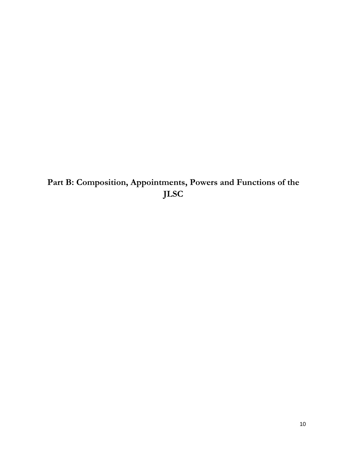<span id="page-9-0"></span>**Part B: Composition, Appointments, Powers and Functions of the JLSC**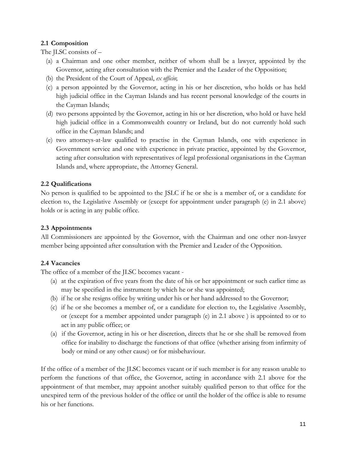#### <span id="page-10-0"></span>**2.1 Composition**

The JLSC consists of –

- (a) a Chairman and one other member, neither of whom shall be a lawyer, appointed by the Governor, acting after consultation with the Premier and the Leader of the Opposition;
- (b) the President of the Court of Appeal, *ex officio*;
- (c) a person appointed by the Governor, acting in his or her discretion, who holds or has held high judicial office in the Cayman Islands and has recent personal knowledge of the courts in the Cayman Islands;
- (d) two persons appointed by the Governor, acting in his or her discretion, who hold or have held high judicial office in a Commonwealth country or Ireland, but do not currently hold such office in the Cayman Islands; and
- (e) two attorneys-at-law qualified to practise in the Cayman Islands, one with experience in Government service and one with experience in private practice, appointed by the Governor, acting after consultation with representatives of legal professional organisations in the Cayman Islands and, where appropriate, the Attorney General.

#### <span id="page-10-1"></span>**2.2 Qualifications**

No person is qualified to be appointed to the JSLC if he or she is a member of, or a candidate for election to, the Legislative Assembly or (except for appointment under paragraph (e) in 2.1 above) holds or is acting in any public office.

#### <span id="page-10-2"></span>**2.3 Appointments**

All Commissioners are appointed by the Governor, with the Chairman and one other non-lawyer member being appointed after consultation with the Premier and Leader of the Opposition.

#### <span id="page-10-3"></span>**2.4 Vacancies**

The office of a member of the JLSC becomes vacant -

- (a) at the expiration of five years from the date of his or her appointment or such earlier time as may be specified in the instrument by which he or she was appointed;
- (b) if he or she resigns office by writing under his or her hand addressed to the Governor;
- (c) if he or she becomes a member of, or a candidate for election to, the Legislative Assembly, or (except for a member appointed under paragraph (e) in 2.1 above ) is appointed to or to act in any public office; or
- (a) if the Governor, acting in his or her discretion, directs that he or she shall be removed from office for inability to discharge the functions of that office (whether arising from infirmity of body or mind or any other cause) or for misbehaviour.

If the office of a member of the JLSC becomes vacant or if such member is for any reason unable to perform the functions of that office, the Governor, acting in accordance with 2.1 above for the appointment of that member, may appoint another suitably qualified person to that office for the unexpired term of the previous holder of the office or until the holder of the office is able to resume his or her functions.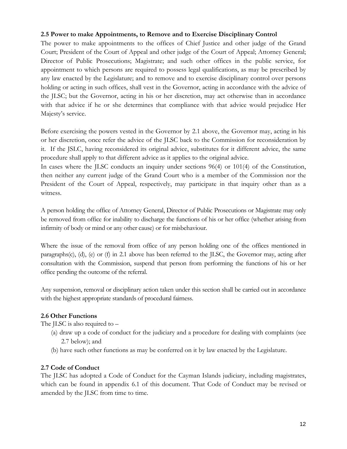#### <span id="page-11-0"></span>**2.5 Power to make Appointments, to Remove and to Exercise Disciplinary Control**

The power to make appointments to the offices of Chief Justice and other judge of the Grand Court; President of the Court of Appeal and other judge of the Court of Appeal; Attorney General; Director of Public Prosecutions; Magistrate; and such other offices in the public service, for appointment to which persons are required to possess legal qualifications, as may be prescribed by any law enacted by the Legislature; and to remove and to exercise disciplinary control over persons holding or acting in such offices, shall vest in the Governor, acting in accordance with the advice of the JLSC; but the Governor, acting in his or her discretion, may act otherwise than in accordance with that advice if he or she determines that compliance with that advice would prejudice Her Majesty's service.

Before exercising the powers vested in the Governor by 2.1 above, the Governor may, acting in his or her discretion, once refer the advice of the JLSC back to the Commission for reconsideration by it. If the JSLC, having reconsidered its original advice, substitutes for it different advice, the same procedure shall apply to that different advice as it applies to the original advice.

In cases where the JLSC conducts an inquiry under sections 96(4) or 101(4) of the Constitution, then neither any current judge of the Grand Court who is a member of the Commission nor the President of the Court of Appeal, respectively, may participate in that inquiry other than as a witness.

A person holding the office of Attorney General, Director of Public Prosecutions or Magistrate may only be removed from office for inability to discharge the functions of his or her office (whether arising from infirmity of body or mind or any other cause) or for misbehaviour.

Where the issue of the removal from office of any person holding one of the offices mentioned in paragraphs(c), (d), (e) or (f) in 2.1 above has been referred to the JLSC, the Governor may, acting after consultation with the Commission, suspend that person from performing the functions of his or her office pending the outcome of the referral.

Any suspension, removal or disciplinary action taken under this section shall be carried out in accordance with the highest appropriate standards of procedural fairness.

#### <span id="page-11-1"></span>**2.6 Other Functions**

The JLSC is also required to –

- (a) draw up a code of conduct for the judiciary and a procedure for dealing with complaints (see 2.7 below); and
- (b) have such other functions as may be conferred on it by law enacted by the Legislature.

#### <span id="page-11-2"></span>**2.7 Code of Conduct**

The JLSC has adopted a Code of Conduct for the Cayman Islands judiciary, including magistrates, which can be found in appendix 6.1 of this document. That Code of Conduct may be revised or amended by the JLSC from time to time.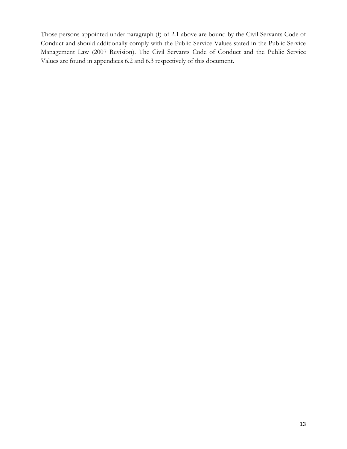Those persons appointed under paragraph (f) of 2.1 above are bound by the Civil Servants Code of Conduct and should additionally comply with the Public Service Values stated in the Public Service Management Law (2007 Revision). The Civil Servants Code of Conduct and the Public Service Values are found in appendices 6.2 and 6.3 respectively of this document.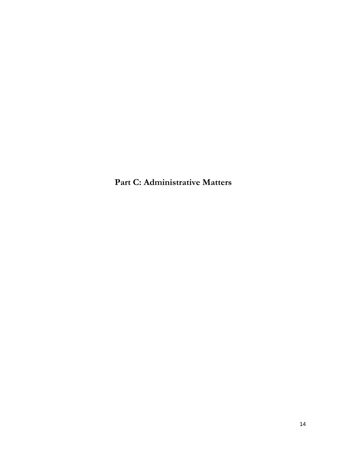<span id="page-13-0"></span>**Part C: Administrative Matters**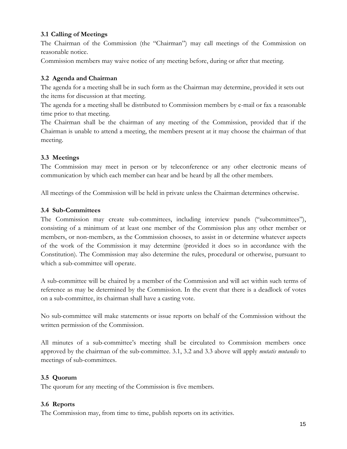#### <span id="page-14-0"></span>**3.1 Calling of Meetings**

The Chairman of the Commission (the "Chairman") may call meetings of the Commission on reasonable notice.

Commission members may waive notice of any meeting before, during or after that meeting.

#### <span id="page-14-1"></span>**3.2 Agenda and Chairman**

The agenda for a meeting shall be in such form as the Chairman may determine, provided it sets out the items for discussion at that meeting.

The agenda for a meeting shall be distributed to Commission members by e-mail or fax a reasonable time prior to that meeting.

The Chairman shall be the chairman of any meeting of the Commission, provided that if the Chairman is unable to attend a meeting, the members present at it may choose the chairman of that meeting.

#### <span id="page-14-2"></span>**3.3 Meetings**

The Commission may meet in person or by teleconference or any other electronic means of communication by which each member can hear and be heard by all the other members.

All meetings of the Commission will be held in private unless the Chairman determines otherwise.

#### <span id="page-14-3"></span>**3.4 Sub-Committees**

The Commission may create sub-committees, including interview panels ("subcommittees"), consisting of a minimum of at least one member of the Commission plus any other member or members, or non-members, as the Commission chooses, to assist in or determine whatever aspects of the work of the Commission it may determine (provided it does so in accordance with the Constitution). The Commission may also determine the rules, procedural or otherwise, pursuant to which a sub-committee will operate.

A sub-committee will be chaired by a member of the Commission and will act within such terms of reference as may be determined by the Commission. In the event that there is a deadlock of votes on a sub-committee, its chairman shall have a casting vote.

No sub-committee will make statements or issue reports on behalf of the Commission without the written permission of the Commission.

All minutes of a sub-committee's meeting shall be circulated to Commission members once approved by the chairman of the sub-committee. 3.1, 3.2 and 3.3 above will apply *mutatis mutandis* to meetings of sub-committees.

#### <span id="page-14-4"></span>**3.5 Quorum**

The quorum for any meeting of the Commission is five members.

#### <span id="page-14-5"></span>**3.6 Reports**

The Commission may, from time to time, publish reports on its activities.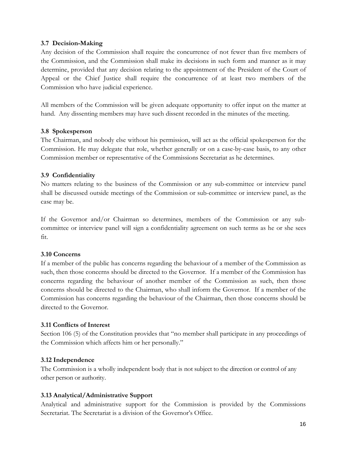#### <span id="page-15-0"></span>**3.7 Decision-Making**

Any decision of the Commission shall require the concurrence of not fewer than five members of the Commission, and the Commission shall make its decisions in such form and manner as it may determine, provided that any decision relating to the appointment of the President of the Court of Appeal or the Chief Justice shall require the concurrence of at least two members of the Commission who have judicial experience.

All members of the Commission will be given adequate opportunity to offer input on the matter at hand. Any dissenting members may have such dissent recorded in the minutes of the meeting.

#### <span id="page-15-1"></span>**3.8 Spokesperson**

The Chairman, and nobody else without his permission, will act as the official spokesperson for the Commission. He may delegate that role, whether generally or on a case-by-case basis, to any other Commission member or representative of the Commissions Secretariat as he determines.

#### <span id="page-15-2"></span>**3.9 Confidentiality**

No matters relating to the business of the Commission or any sub-committee or interview panel shall be discussed outside meetings of the Commission or sub-committee or interview panel, as the case may be.

If the Governor and/or Chairman so determines, members of the Commission or any subcommittee or interview panel will sign a confidentiality agreement on such terms as he or she sees fit.

#### <span id="page-15-3"></span>**3.10 Concerns**

If a member of the public has concerns regarding the behaviour of a member of the Commission as such, then those concerns should be directed to the Governor. If a member of the Commission has concerns regarding the behaviour of another member of the Commission as such, then those concerns should be directed to the Chairman, who shall inform the Governor. If a member of the Commission has concerns regarding the behaviour of the Chairman, then those concerns should be directed to the Governor.

#### <span id="page-15-4"></span>**3.11 Conflicts of Interest**

Section 106 (5) of the Constitution provides that "no member shall participate in any proceedings of the Commission which affects him or her personally."

#### <span id="page-15-5"></span>**3.12 Independence**

The Commission is a wholly independent body that is not subject to the direction or control of any other person or authority.

#### <span id="page-15-6"></span>**3.13 Analytical/Administrative Support**

Analytical and administrative support for the Commission is provided by the Commissions Secretariat. The Secretariat is a division of the Governor's Office.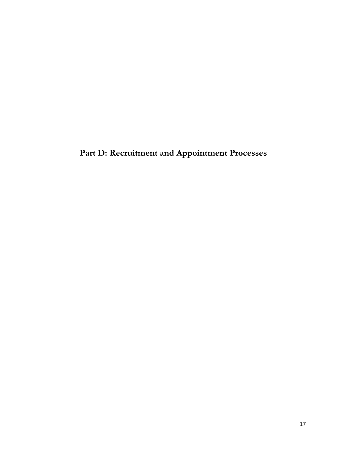<span id="page-16-0"></span>**Part D: Recruitment and Appointment Processes**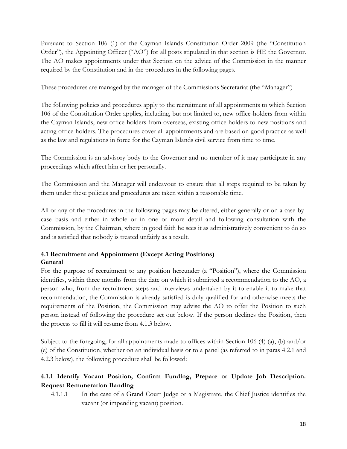Pursuant to Section 106 (1) of the Cayman Islands Constitution Order 2009 (the "Constitution Order"), the Appointing Officer ("AO") for all posts stipulated in that section is HE the Governor. The AO makes appointments under that Section on the advice of the Commission in the manner required by the Constitution and in the procedures in the following pages.

These procedures are managed by the manager of the Commissions Secretariat (the "Manager")

The following policies and procedures apply to the recruitment of all appointments to which Section 106 of the Constitution Order applies, including, but not limited to, new office-holders from within the Cayman Islands, new office-holders from overseas, existing office-holders to new positions and acting office-holders. The procedures cover all appointments and are based on good practice as well as the law and regulations in force for the Cayman Islands civil service from time to time.

The Commission is an advisory body to the Governor and no member of it may participate in any proceedings which affect him or her personally.

The Commission and the Manager will endeavour to ensure that all steps required to be taken by them under these policies and procedures are taken within a reasonable time.

All or any of the procedures in the following pages may be altered, either generally or on a case-bycase basis and either in whole or in one or more detail and following consultation with the Commission, by the Chairman, where in good faith he sees it as administratively convenient to do so and is satisfied that nobody is treated unfairly as a result.

#### <span id="page-17-0"></span>**4.1 Recruitment and Appointment (Except Acting Positions) General**

For the purpose of recruitment to any position hereunder (a "Position"), where the Commission identifies, within three months from the date on which it submitted a recommendation to the AO, a person who, from the recruitment steps and interviews undertaken by it to enable it to make that recommendation, the Commission is already satisfied is duly qualified for and otherwise meets the requirements of the Position, the Commission may advise the AO to offer the Position to such person instead of following the procedure set out below. If the person declines the Position, then the process to fill it will resume from 4.1.3 below.

Subject to the foregoing, for all appointments made to offices within Section 106 (4) (a), (b) and/or (e) of the Constitution, whether on an individual basis or to a panel (as referred to in paras 4.2.1 and 4.2.3 below), the following procedure shall be followed:

#### **4.1.1 Identify Vacant Position, Confirm Funding, Prepare or Update Job Description. Request Remuneration Banding**

4.1.1.1 In the case of a Grand Court Judge or a Magistrate, the Chief Justice identifies the vacant (or impending vacant) position.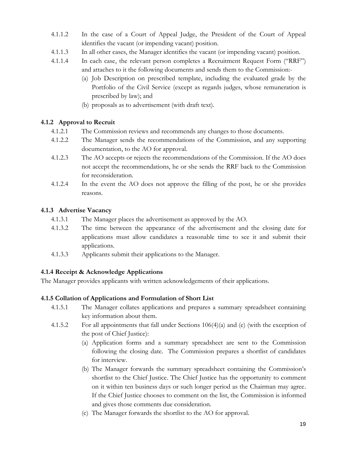- 4.1.1.2 In the case of a Court of Appeal Judge, the President of the Court of Appeal identifies the vacant (or impending vacant) position.
- 4.1.1.3 In all other cases, the Manager identifies the vacant (or impending vacant) position.
- 4.1.1.4 In each case, the relevant person completes a Recruitment Request Form ("RRF") and attaches to it the following documents and sends them to the Commission:-
	- (a) Job Description on prescribed template, including the evaluated grade by the Portfolio of the Civil Service (except as regards judges, whose remuneration is prescribed by law); and
	- (b) proposals as to advertisement (with draft text).

#### **4.1.2 Approval to Recruit**

- 4.1.2.1 The Commission reviews and recommends any changes to those documents.
- 4.1.2.2 The Manager sends the recommendations of the Commission, and any supporting documentation, to the AO for approval.
- 4.1.2.3 The AO accepts or rejects the recommendations of the Commission. If the AO does not accept the recommendations, he or she sends the RRF back to the Commission for reconsideration.
- 4.1.2.4 In the event the AO does not approve the filling of the post, he or she provides reasons.

#### **4.1.3 Advertise Vacancy**

- 4.1.3.1 The Manager places the advertisement as approved by the AO.
- 4.1.3.2 The time between the appearance of the advertisement and the closing date for applications must allow candidates a reasonable time to see it and submit their applications.
- 4.1.3.3 Applicants submit their applications to the Manager.

#### **4.1.4 Receipt & Acknowledge Applications**

The Manager provides applicants with written acknowledgements of their applications.

#### **4.1.5 Collation of Applications and Formulation of Short List**

- 4.1.5.1 The Manager collates applications and prepares a summary spreadsheet containing key information about them.
- 4.1.5.2 For all appointments that fall under Sections 106(4)(a) and (e) (with the exception of the post of Chief Justice):
	- (a) Application forms and a summary spreadsheet are sent to the Commission following the closing date. The Commission prepares a shortlist of candidates for interview.
	- (b) The Manager forwards the summary spreadsheet containing the Commission's shortlist to the Chief Justice. The Chief Justice has the opportunity to comment on it within ten business days or such longer period as the Chairman may agree. If the Chief Justice chooses to comment on the list, the Commission is informed and gives those comments due consideration.
	- (c) The Manager forwards the shortlist to the AO for approval.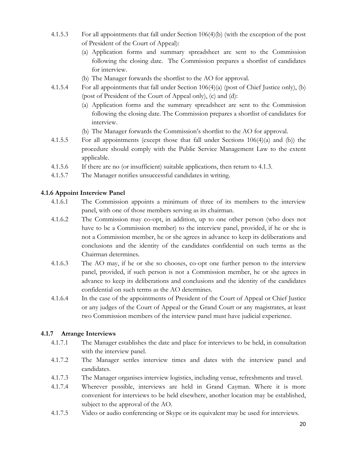- 4.1.5.3 For all appointments that fall under Section 106(4)(b) (with the exception of the post of President of the Court of Appeal):
	- (a) Application forms and summary spreadsheet are sent to the Commission following the closing date. The Commission prepares a shortlist of candidates for interview.
	- (b) The Manager forwards the shortlist to the AO for approval.
- 4.1.5.4 For all appointments that fall under Section 106(4)(a) (post of Chief Justice only), (b) (post of President of the Court of Appeal only), (c) and (d):
	- (a) Application forms and the summary spreadsheet are sent to the Commission following the closing date. The Commission prepares a shortlist of candidates for interview.
	- (b) The Manager forwards the Commission's shortlist to the AO for approval.
- 4.1.5.5 For all appointments (except those that fall under Sections 106(4)(a) and (b)) the procedure should comply with the Public Service Management Law to the extent applicable.
- 4.1.5.6 If there are no (or insufficient) suitable applications, then return to 4.1.3.
- 4.1.5.7 The Manager notifies unsuccessful candidates in writing.

#### **4.1.6 Appoint Interview Panel**

- 4.1.6.1 The Commission appoints a minimum of three of its members to the interview panel, with one of those members serving as its chairman.
- 4.1.6.2 The Commission may co-opt, in addition, up to one other person (who does not have to be a Commission member) to the interview panel, provided, if he or she is not a Commission member, he or she agrees in advance to keep its deliberations and conclusions and the identity of the candidates confidential on such terms as the Chairman determines.
- 4.1.6.3 The AO may, if he or she so chooses, co-opt one further person to the interview panel, provided, if such person is not a Commission member, he or she agrees in advance to keep its deliberations and conclusions and the identity of the candidates confidential on such terms as the AO determines.
- 4.1.6.4 In the case of the appointments of President of the Court of Appeal or Chief Justice or any judges of the Court of Appeal or the Grand Court or any magistrates, at least two Commission members of the interview panel must have judicial experience.

#### **4.1.7 Arrange Interviews**

- 4.1.7.1 The Manager establishes the date and place for interviews to be held, in consultation with the interview panel.
- 4.1.7.2 The Manager settles interview times and dates with the interview panel and candidates.
- 4.1.7.3 The Manager organises interview logistics, including venue, refreshments and travel.
- 4.1.7.4 Wherever possible, interviews are held in Grand Cayman. Where it is more convenient for interviews to be held elsewhere, another location may be established, subject to the approval of the AO.
- 4.1.7.5 Video or audio conferencing or Skype or its equivalent may be used for interviews.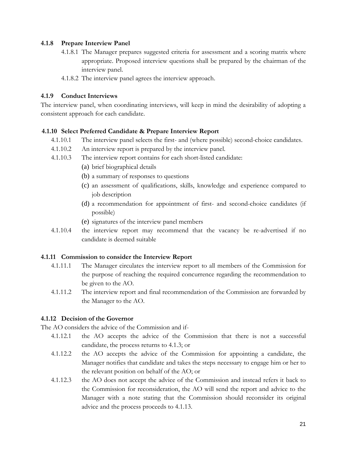#### **4.1.8 Prepare Interview Panel**

- 4.1.8.1 The Manager prepares suggested criteria for assessment and a scoring matrix where appropriate. Proposed interview questions shall be prepared by the chairman of the interview panel.
- 4.1.8.2 The interview panel agrees the interview approach.

#### **4.1.9 Conduct Interviews**

The interview panel, when coordinating interviews, will keep in mind the desirability of adopting a consistent approach for each candidate.

#### **4.1.10 Select Preferred Candidate & Prepare Interview Report**

- 4.1.10.1 The interview panel selects the first- and (where possible) second-choice candidates.
- 4.1.10.2 An interview report is prepared by the interview panel.
- 4.1.10.3 The interview report contains for each short-listed candidate:
	- (a) brief biographical details
	- (b) a summary of responses to questions
	- (c) an assessment of qualifications, skills, knowledge and experience compared to job description
	- (d) a recommendation for appointment of first- and second-choice candidates (if possible)
	- (e) signatures of the interview panel members
- 4.1.10.4 the interview report may recommend that the vacancy be re-advertised if no candidate is deemed suitable

#### **4.1.11 Commission to consider the Interview Report**

- 4.1.11.1 The Manager circulates the interview report to all members of the Commission for the purpose of reaching the required concurrence regarding the recommendation to be given to the AO.
- 4.1.11.2 The interview report and final recommendation of the Commission are forwarded by the Manager to the AO.

#### **4.1.12 Decision of the Governor**

The AO considers the advice of the Commission and if-

- 4.1.12.1 the AO accepts the advice of the Commission that there is not a successful candidate, the process returns to 4.1.3; or
- 4.1.12.2 the AO accepts the advice of the Commission for appointing a candidate, the Manager notifies that candidate and takes the steps necessary to engage him or her to the relevant position on behalf of the AO; or
- 4.1.12.3 the AO does not accept the advice of the Commission and instead refers it back to the Commission for reconsideration, the AO will send the report and advice to the Manager with a note stating that the Commission should reconsider its original advice and the process proceeds to 4.1.13.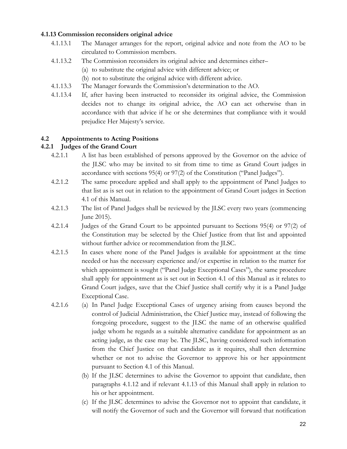#### **4.1.13 Commission reconsiders original advice**

- 4.1.13.1 The Manager arranges for the report, original advice and note from the AO to be circulated to Commission members.
- 4.1.13.2 The Commission reconsiders its original advice and determines either–
	- (a) to substitute the original advice with different advice; or
	- (b) not to substitute the original advice with different advice.
- 4.1.13.3 The Manager forwards the Commission's determination to the AO.
- 4.1.13.4 If, after having been instructed to reconsider its original advice, the Commission decides not to change its original advice, the AO can act otherwise than in accordance with that advice if he or she determines that compliance with it would prejudice Her Majesty's service.

#### <span id="page-21-0"></span>**4.2 Appointments to Acting Positions**

#### **4.2.1 Judges of the Grand Court**

- 4.2.1.1 A list has been established of persons approved by the Governor on the advice of the JLSC who may be invited to sit from time to time as Grand Court judges in accordance with sections 95(4) or 97(2) of the Constitution ("Panel Judges").
- 4.2.1.2 The same procedure applied and shall apply to the appointment of Panel Judges to that list as is set out in relation to the appointment of Grand Court judges in Section 4.1 of this Manual.
- 4.2.1.3 The list of Panel Judges shall be reviewed by the JLSC every two years (commencing June 2015).
- 4.2.1.4 Judges of the Grand Court to be appointed pursuant to Sections 95(4) or 97(2) of the Constitution may be selected by the Chief Justice from that list and appointed without further advice or recommendation from the JLSC.
- 4.2.1.5 In cases where none of the Panel Judges is available for appointment at the time needed or has the necessary experience and/or expertise in relation to the matter for which appointment is sought ("Panel Judge Exceptional Cases"), the same procedure shall apply for appointment as is set out in Section 4.1 of this Manual as it relates to Grand Court judges, save that the Chief Justice shall certify why it is a Panel Judge Exceptional Case.
- 4.2.1.6 (a) In Panel Judge Exceptional Cases of urgency arising from causes beyond the control of Judicial Administration, the Chief Justice may, instead of following the foregoing procedure, suggest to the JLSC the name of an otherwise qualified judge whom he regards as a suitable alternative candidate for appointment as an acting judge, as the case may be. The JLSC, having considered such information from the Chief Justice on that candidate as it requires, shall then determine whether or not to advise the Governor to approve his or her appointment pursuant to Section 4.1 of this Manual.
	- (b) If the JLSC determines to advise the Governor to appoint that candidate, then paragraphs 4.1.12 and if relevant 4.1.13 of this Manual shall apply in relation to his or her appointment.
	- (c) If the JLSC determines to advise the Governor not to appoint that candidate, it will notify the Governor of such and the Governor will forward that notification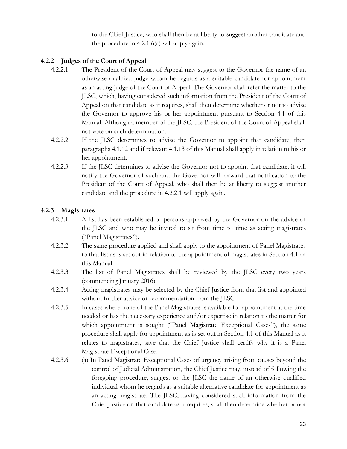to the Chief Justice, who shall then be at liberty to suggest another candidate and the procedure in 4.2.1.6(a) will apply again.

#### **4.2.2 Judges of the Court of Appeal**

- 4.2.2.1 The President of the Court of Appeal may suggest to the Governor the name of an otherwise qualified judge whom he regards as a suitable candidate for appointment as an acting judge of the Court of Appeal. The Governor shall refer the matter to the JLSC, which, having considered such information from the President of the Court of Appeal on that candidate as it requires, shall then determine whether or not to advise the Governor to approve his or her appointment pursuant to Section 4.1 of this Manual. Although a member of the JLSC, the President of the Court of Appeal shall not vote on such determination.
- 4.2.2.2 If the JLSC determines to advise the Governor to appoint that candidate, then paragraphs 4.1.12 and if relevant 4.1.13 of this Manual shall apply in relation to his or her appointment.
- 4.2.2.3 If the JLSC determines to advise the Governor not to appoint that candidate, it will notify the Governor of such and the Governor will forward that notification to the President of the Court of Appeal, who shall then be at liberty to suggest another candidate and the procedure in 4.2.2.1 will apply again.

#### **4.2.3 Magistrates**

- 4.2.3.1 A list has been established of persons approved by the Governor on the advice of the JLSC and who may be invited to sit from time to time as acting magistrates ("Panel Magistrates").
- 4.2.3.2 The same procedure applied and shall apply to the appointment of Panel Magistrates to that list as is set out in relation to the appointment of magistrates in Section 4.1 of this Manual.
- 4.2.3.3 The list of Panel Magistrates shall be reviewed by the JLSC every two years (commencing January 2016).
- 4.2.3.4 Acting magistrates may be selected by the Chief Justice from that list and appointed without further advice or recommendation from the JLSC.
- 4.2.3.5 In cases where none of the Panel Magistrates is available for appointment at the time needed or has the necessary experience and/or expertise in relation to the matter for which appointment is sought ("Panel Magistrate Exceptional Cases"), the same procedure shall apply for appointment as is set out in Section 4.1 of this Manual as it relates to magistrates, save that the Chief Justice shall certify why it is a Panel Magistrate Exceptional Case.
- 4.2.3.6 (a) In Panel Magistrate Exceptional Cases of urgency arising from causes beyond the control of Judicial Administration, the Chief Justice may, instead of following the foregoing procedure, suggest to the JLSC the name of an otherwise qualified individual whom he regards as a suitable alternative candidate for appointment as an acting magistrate. The JLSC, having considered such information from the Chief Justice on that candidate as it requires, shall then determine whether or not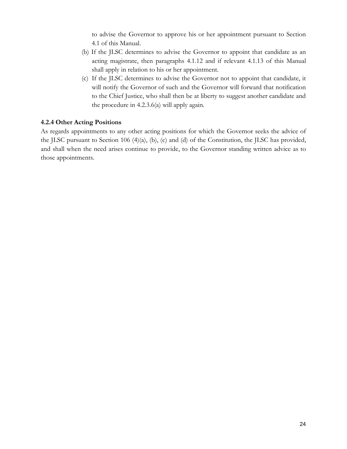to advise the Governor to approve his or her appointment pursuant to Section 4.1 of this Manual.

- (b) If the JLSC determines to advise the Governor to appoint that candidate as an acting magistrate, then paragraphs 4.1.12 and if relevant 4.1.13 of this Manual shall apply in relation to his or her appointment.
- (c) If the JLSC determines to advise the Governor not to appoint that candidate, it will notify the Governor of such and the Governor will forward that notification to the Chief Justice, who shall then be at liberty to suggest another candidate and the procedure in 4.2.3.6(a) will apply again.

#### **4.2.4 Other Acting Positions**

As regards appointments to any other acting positions for which the Governor seeks the advice of the JLSC pursuant to Section 106 (4)(a), (b), (c) and (d) of the Constitution, the JLSC has provided, and shall when the need arises continue to provide, to the Governor standing written advice as to those appointments.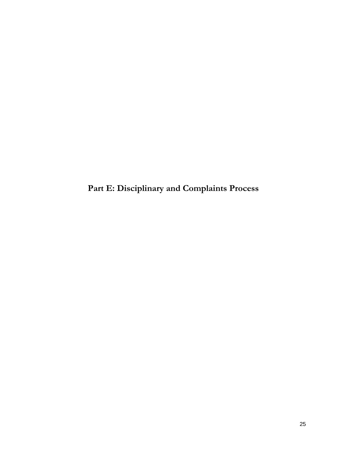<span id="page-24-0"></span>**Part E: Disciplinary and Complaints Process**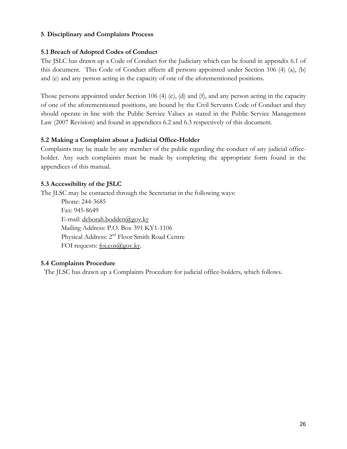#### <span id="page-25-0"></span>**5**. **Disciplinary and Complaints Process**

#### <span id="page-25-1"></span>**5.1 Breach of Adopted Codes of Conduct**

The JSLC has drawn up a Code of Conduct for the Judiciary which can be found in appendix 6.1 of this document. This Code of Conduct affects all persons appointed under Section 106 (4) (a), (b) and (e) and any person acting in the capacity of one of the aforementioned positions.

Those persons appointed under Section 106 (4) (c), (d) and (f), and any person acting in the capacity of one of the aforementioned positions, are bound by the Civil Servants Code of Conduct and they should operate in line with the Public Service Values as stated in the Public Service Management Law (2007 Revision) and found in appendices 6.2 and 6.3 respectively of this document.

#### <span id="page-25-2"></span>**5.2 Making a Complaint about a Judicial Office-Holder**

Complaints may be made by any member of the public regarding the conduct of any judicial officeholder. Any such complaints must be made by completing the appropriate form found in the appendices of this manual.

#### <span id="page-25-3"></span>**5.3 Accessibility of the JSLC**

The JLSC may be contacted through the Secretariat in the following ways:

Phone: 244-3685 Fax: 945-8649 E-mail: [deborah.bodden@gov.ky](mailto:deborah.bodden@gov.ky) Mailing Address: P.O. Box 391 KY1-1106 Physical Address: 2nd Floor Smith Road Centre FOI requests: <u>foi.cos@gov.ky</u>.

#### <span id="page-25-4"></span>**5.4 Complaints Procedure**

The JLSC has drawn up a Complaints Procedure for judicial office-holders, which follows.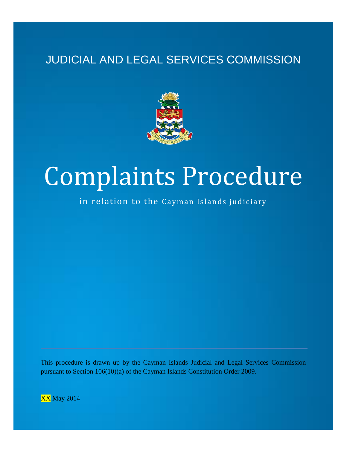## JUDICIAL AND LEGAL SERVICES COMMISSION



# Complaints Procedure

in relation to the Cayman Islands judiciary

This procedure is drawn up by the Cayman Islands Judicial and Legal Services Commission pursuant to Section 106(10)(a) of the Cayman Islands Constitution Order 2009.

XX May 2014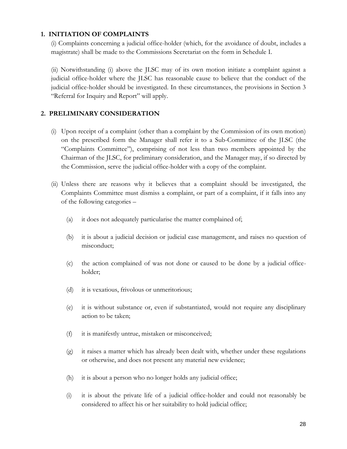#### **1. INITIATION OF COMPLAINTS**

(i) Complaints concerning a judicial office-holder (which, for the avoidance of doubt, includes a magistrate) shall be made to the Commissions Secretariat on the form in Schedule I.

(ii) Notwithstanding (i) above the JLSC may of its own motion initiate a complaint against a judicial office-holder where the JLSC has reasonable cause to believe that the conduct of the judicial office-holder should be investigated. In these circumstances, the provisions in Section 3 "Referral for Inquiry and Report" will apply.

#### **2. PRELIMINARY CONSIDERATION**

- (i) Upon receipt of a complaint (other than a complaint by the Commission of its own motion) on the prescribed form the Manager shall refer it to a Sub-Committee of the JLSC (the "Complaints Committee"), comprising of not less than two members appointed by the Chairman of the JLSC, for preliminary consideration, and the Manager may, if so directed by the Commission, serve the judicial office-holder with a copy of the complaint.
- (ii) Unless there are reasons why it believes that a complaint should be investigated, the Complaints Committee must dismiss a complaint, or part of a complaint, if it falls into any of the following categories –
	- (a) it does not adequately particularise the matter complained of;
	- (b) it is about a judicial decision or judicial case management, and raises no question of misconduct;
	- (c) the action complained of was not done or caused to be done by a judicial officeholder;
	- (d) it is vexatious, frivolous or unmeritorious;
	- (e) it is without substance or, even if substantiated, would not require any disciplinary action to be taken;
	- (f) it is manifestly untrue, mistaken or misconceived;
	- (g) it raises a matter which has already been dealt with, whether under these regulations or otherwise, and does not present any material new evidence;
	- (h) it is about a person who no longer holds any judicial office;
	- (i) it is about the private life of a judicial office-holder and could not reasonably be considered to affect his or her suitability to hold judicial office;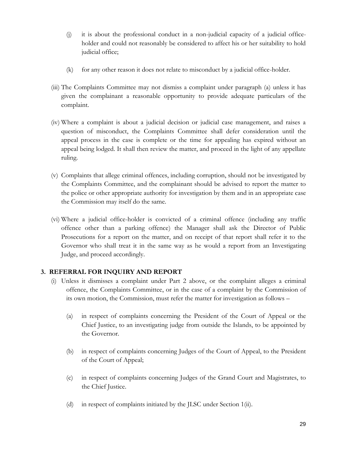- (j) it is about the professional conduct in a non-judicial capacity of a judicial officeholder and could not reasonably be considered to affect his or her suitability to hold judicial office;
- (k) for any other reason it does not relate to misconduct by a judicial office-holder.
- (iii) The Complaints Committee may not dismiss a complaint under paragraph (a) unless it has given the complainant a reasonable opportunity to provide adequate particulars of the complaint.
- (iv) Where a complaint is about a judicial decision or judicial case management, and raises a question of misconduct, the Complaints Committee shall defer consideration until the appeal process in the case is complete or the time for appealing has expired without an appeal being lodged. It shall then review the matter, and proceed in the light of any appellate ruling.
- (v) Complaints that allege criminal offences, including corruption, should not be investigated by the Complaints Committee, and the complainant should be advised to report the matter to the police or other appropriate authority for investigation by them and in an appropriate case the Commission may itself do the same.
- (vi) Where a judicial office-holder is convicted of a criminal offence (including any traffic offence other than a parking offence) the Manager shall ask the Director of Public Prosecutions for a report on the matter, and on receipt of that report shall refer it to the Governor who shall treat it in the same way as he would a report from an Investigating Judge, and proceed accordingly.

#### **3. REFERRAL FOR INQUIRY AND REPORT**

- (i) Unless it dismisses a complaint under Part 2 above, or the complaint alleges a criminal offence, the Complaints Committee, or in the case of a complaint by the Commission of its own motion, the Commission, must refer the matter for investigation as follows –
	- (a) in respect of complaints concerning the President of the Court of Appeal or the Chief Justice, to an investigating judge from outside the Islands, to be appointed by the Governor.
	- (b) in respect of complaints concerning Judges of the Court of Appeal, to the President of the Court of Appeal;
	- (c) in respect of complaints concerning Judges of the Grand Court and Magistrates, to the Chief Justice.
	- (d) in respect of complaints initiated by the JLSC under Section 1(ii).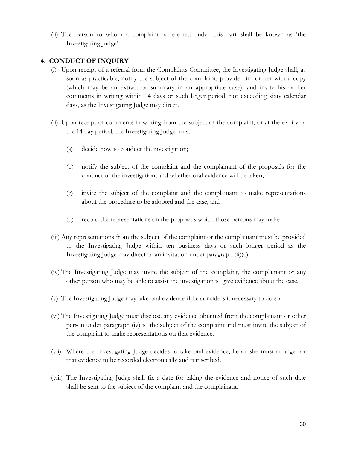(ii) The person to whom a complaint is referred under this part shall be known as 'the Investigating Judge'.

#### **4. CONDUCT OF INQUIRY**

- (i) Upon receipt of a referral from the Complaints Committee, the Investigating Judge shall, as soon as practicable, notify the subject of the complaint, provide him or her with a copy (which may be an extract or summary in an appropriate case), and invite his or her comments in writing within 14 days or such larger period, not exceeding sixty calendar days, as the Investigating Judge may direct.
- (ii) Upon receipt of comments in writing from the subject of the complaint, or at the expiry of the 14 day period, the Investigating Judge must -
	- (a) decide how to conduct the investigation;
	- (b) notify the subject of the complaint and the complainant of the proposals for the conduct of the investigation, and whether oral evidence will be taken;
	- (c) invite the subject of the complaint and the complainant to make representations about the procedure to be adopted and the case; and
	- (d) record the representations on the proposals which those persons may make.
- (iii) Any representations from the subject of the complaint or the complainant must be provided to the Investigating Judge within ten business days or such longer period as the Investigating Judge may direct of an invitation under paragraph (ii)(c).
- (iv) The Investigating Judge may invite the subject of the complaint, the complainant or any other person who may be able to assist the investigation to give evidence about the case.
- (v) The Investigating Judge may take oral evidence if he considers it necessary to do so.
- (vi) The Investigating Judge must disclose any evidence obtained from the complainant or other person under paragraph (iv) to the subject of the complaint and must invite the subject of the complaint to make representations on that evidence.
- (vii) Where the Investigating Judge decides to take oral evidence, he or she must arrange for that evidence to be recorded electronically and transcribed.
- (viii) The Investigating Judge shall fix a date for taking the evidence and notice of such date shall be sent to the subject of the complaint and the complainant.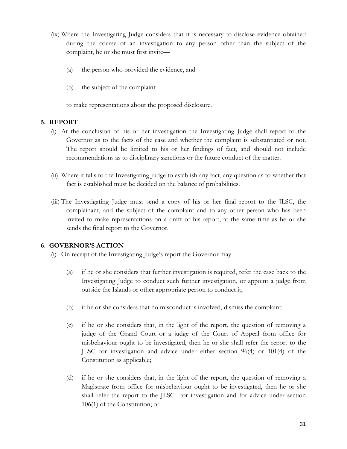- (ix) Where the Investigating Judge considers that it is necessary to disclose evidence obtained during the course of an investigation to any person other than the subject of the complaint, he or she must first invite—
	- (a) the person who provided the evidence, and
	- (b) the subject of the complaint

to make representations about the proposed disclosure.

#### **5. REPORT**

- (i) At the conclusion of his or her investigation the Investigating Judge shall report to the Governor as to the facts of the case and whether the complaint is substantiated or not. The report should be limited to his or her findings of fact, and should not include recommendations as to disciplinary sanctions or the future conduct of the matter.
- (ii) Where it falls to the Investigating Judge to establish any fact, any question as to whether that fact is established must be decided on the balance of probabilities.
- (iii) The Investigating Judge must send a copy of his or her final report to the JLSC, the complainant, and the subject of the complaint and to any other person who has been invited to make representations on a draft of his report, at the same time as he or she sends the final report to the Governor.

#### **6. GOVERNOR'S ACTION**

- (i) On receipt of the Investigating Judge's report the Governor may
	- (a) if he or she considers that further investigation is required, refer the case back to the Investigating Judge to conduct such further investigation, or appoint a judge from outside the Islands or other appropriate person to conduct it;
	- (b) if he or she considers that no misconduct is involved, dismiss the complaint;
	- (c) if he or she considers that, in the light of the report, the question of removing a judge of the Grand Court or a judge of the Court of Appeal from office for misbehaviour ought to be investigated, then he or she shall refer the report to the JLSC for investigation and advice under either section 96(4) or 101(4) of the Constitution as applicable;
	- (d) if he or she considers that, in the light of the report, the question of removing a Magistrate from office for misbehaviour ought to be investigated, then he or she shall refer the report to the JLSC for investigation and for advice under section 106(1) of the Constitution; or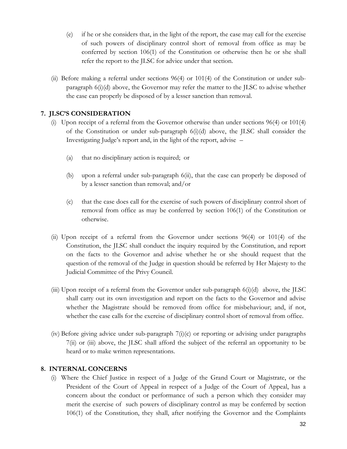- (e) if he or she considers that, in the light of the report, the case may call for the exercise of such powers of disciplinary control short of removal from office as may be conferred by section 106(1) of the Constitution or otherwise then he or she shall refer the report to the JLSC for advice under that section.
- (ii) Before making a referral under sections 96(4) or 101(4) of the Constitution or under subparagraph 6(i)(d) above, the Governor may refer the matter to the JLSC to advise whether the case can properly be disposed of by a lesser sanction than removal.

#### **7. JLSC'S CONSIDERATION**

- (i) Upon receipt of a referral from the Governor otherwise than under sections 96(4) or 101(4) of the Constitution or under sub-paragraph  $6(i)(d)$  above, the JLSC shall consider the Investigating Judge's report and, in the light of the report, advise –
	- (a) that no disciplinary action is required; or
	- (b) upon a referral under sub-paragraph 6(ii), that the case can properly be disposed of by a lesser sanction than removal; and/or
	- (c) that the case does call for the exercise of such powers of disciplinary control short of removal from office as may be conferred by section 106(1) of the Constitution or otherwise.
- (ii) Upon receipt of a referral from the Governor under sections 96(4) or 101(4) of the Constitution, the JLSC shall conduct the inquiry required by the Constitution, and report on the facts to the Governor and advise whether he or she should request that the question of the removal of the Judge in question should be referred by Her Majesty to the Judicial Committee of the Privy Council.
- (iii) Upon receipt of a referral from the Governor under sub-paragraph 6(i)(d) above, the JLSC shall carry out its own investigation and report on the facts to the Governor and advise whether the Magistrate should be removed from office for misbehaviour; and, if not, whether the case calls for the exercise of disciplinary control short of removal from office.
- (iv) Before giving advice under sub-paragraph 7(i)(c) or reporting or advising under paragraphs 7(ii) or (iii) above, the JLSC shall afford the subject of the referral an opportunity to be heard or to make written representations.

#### **8. INTERNAL CONCERNS**

(i) Where the Chief Justice in respect of a Judge of the Grand Court or Magistrate, or the President of the Court of Appeal in respect of a Judge of the Court of Appeal, has a concern about the conduct or performance of such a person which they consider may merit the exercise of such powers of disciplinary control as may be conferred by section 106(1) of the Constitution, they shall, after notifying the Governor and the Complaints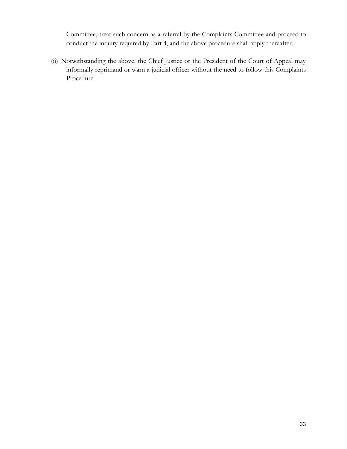Committee, treat such concern as a referral by the Complaints Committee and proceed to conduct the inquiry required by Part 4, and the above procedure shall apply thereafter.

(ii) Notwithstanding the above, the Chief Justice or the President of the Court of Appeal may informally reprimand or warn a judicial officer without the need to follow this Complaints Procedure.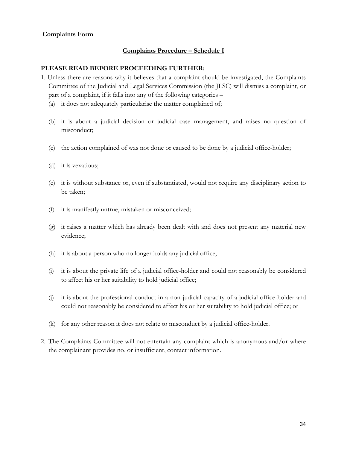#### **Complaints Procedure – Schedule I**

#### <span id="page-33-0"></span>**PLEASE READ BEFORE PROCEEDING FURTHER:**

- 1. Unless there are reasons why it believes that a complaint should be investigated, the Complaints Committee of the Judicial and Legal Services Commission (the JLSC) will dismiss a complaint, or part of a complaint, if it falls into any of the following categories –
	- (a) it does not adequately particularise the matter complained of;
	- (b) it is about a judicial decision or judicial case management, and raises no question of misconduct;
	- (c) the action complained of was not done or caused to be done by a judicial office-holder;
	- (d) it is vexatious;
	- (e) it is without substance or, even if substantiated, would not require any disciplinary action to be taken;
	- (f) it is manifestly untrue, mistaken or misconceived;
	- (g) it raises a matter which has already been dealt with and does not present any material new evidence;
	- (h) it is about a person who no longer holds any judicial office;
	- (i) it is about the private life of a judicial office-holder and could not reasonably be considered to affect his or her suitability to hold judicial office;
	- (j) it is about the professional conduct in a non-judicial capacity of a judicial office-holder and could not reasonably be considered to affect his or her suitability to hold judicial office; or
	- (k) for any other reason it does not relate to misconduct by a judicial office-holder.
- 2. The Complaints Committee will not entertain any complaint which is anonymous and/or where the complainant provides no, or insufficient, contact information.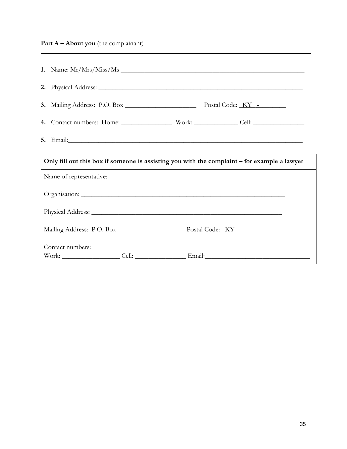### **Part A – About you** (the complainant)

| Only fill out this box if someone is assisting you with the complaint - for example a lawyer |  |  |  |
|----------------------------------------------------------------------------------------------|--|--|--|
|                                                                                              |  |  |  |
|                                                                                              |  |  |  |
|                                                                                              |  |  |  |
| Mailing Address: P.O. Box                                                                    |  |  |  |
| Contact numbers:                                                                             |  |  |  |
| Work: Cell: Cell: Email: Email:                                                              |  |  |  |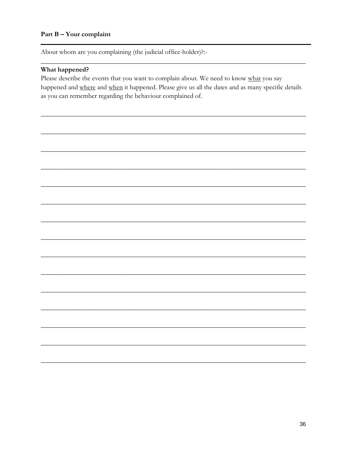About whom are you complaining (the judicial office-holder)?:-

#### What happened?

Please describe the events that you want to complain about. We need to know what you say happened and where and when it happened. Please give us all the dates and as many specific details as you can remember regarding the behaviour complained of.

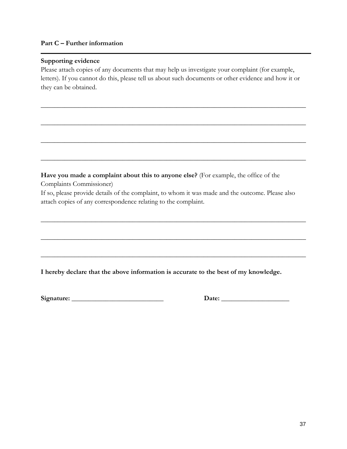#### **Part C – Further information**

#### **Supporting evidence**

Please attach copies of any documents that may help us investigate your complaint (for example, letters). If you cannot do this, please tell us about such documents or other evidence and how it or they can be obtained.

\_\_\_\_\_\_\_\_\_\_\_\_\_\_\_\_\_\_\_\_\_\_\_\_\_\_\_\_\_\_\_\_\_\_\_\_\_\_\_\_\_\_\_\_\_\_\_\_\_\_\_\_\_\_\_\_\_\_\_\_\_\_\_\_\_\_\_\_\_\_\_\_\_\_\_\_\_\_

\_\_\_\_\_\_\_\_\_\_\_\_\_\_\_\_\_\_\_\_\_\_\_\_\_\_\_\_\_\_\_\_\_\_\_\_\_\_\_\_\_\_\_\_\_\_\_\_\_\_\_\_\_\_\_\_\_\_\_\_\_\_\_\_\_\_\_\_\_\_\_\_\_\_\_\_\_\_

\_\_\_\_\_\_\_\_\_\_\_\_\_\_\_\_\_\_\_\_\_\_\_\_\_\_\_\_\_\_\_\_\_\_\_\_\_\_\_\_\_\_\_\_\_\_\_\_\_\_\_\_\_\_\_\_\_\_\_\_\_\_\_\_\_\_\_\_\_\_\_\_\_\_\_\_\_\_

\_\_\_\_\_\_\_\_\_\_\_\_\_\_\_\_\_\_\_\_\_\_\_\_\_\_\_\_\_\_\_\_\_\_\_\_\_\_\_\_\_\_\_\_\_\_\_\_\_\_\_\_\_\_\_\_\_\_\_\_\_\_\_\_\_\_\_\_\_\_\_\_\_\_\_\_\_\_

**Have you made a complaint about this to anyone else?** (For example, the office of the Complaints Commissioner)

If so, please provide details of the complaint, to whom it was made and the outcome. Please also attach copies of any correspondence relating to the complaint.

\_\_\_\_\_\_\_\_\_\_\_\_\_\_\_\_\_\_\_\_\_\_\_\_\_\_\_\_\_\_\_\_\_\_\_\_\_\_\_\_\_\_\_\_\_\_\_\_\_\_\_\_\_\_\_\_\_\_\_\_\_\_\_\_\_\_\_\_\_\_\_\_\_\_\_\_\_\_

\_\_\_\_\_\_\_\_\_\_\_\_\_\_\_\_\_\_\_\_\_\_\_\_\_\_\_\_\_\_\_\_\_\_\_\_\_\_\_\_\_\_\_\_\_\_\_\_\_\_\_\_\_\_\_\_\_\_\_\_\_\_\_\_\_\_\_\_\_\_\_\_\_\_\_\_\_\_

\_\_\_\_\_\_\_\_\_\_\_\_\_\_\_\_\_\_\_\_\_\_\_\_\_\_\_\_\_\_\_\_\_\_\_\_\_\_\_\_\_\_\_\_\_\_\_\_\_\_\_\_\_\_\_\_\_\_\_\_\_\_\_\_\_\_\_\_\_\_\_\_\_\_\_\_\_\_

**I hereby declare that the above information is accurate to the best of my knowledge.**

**Signature: \_\_\_\_\_\_\_\_\_\_\_\_\_\_\_\_\_\_\_\_\_\_\_\_\_\_\_ Date: \_\_\_\_\_\_\_\_\_\_\_\_\_\_\_\_\_\_\_\_**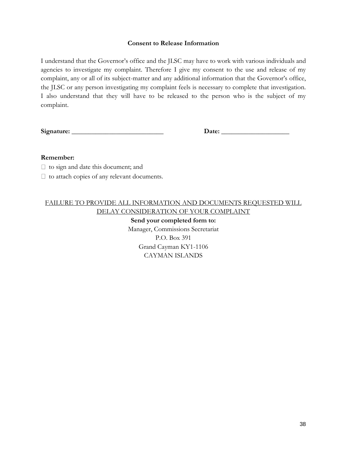#### **Consent to Release Information**

I understand that the Governor's office and the JLSC may have to work with various individuals and agencies to investigate my complaint. Therefore I give my consent to the use and release of my complaint, any or all of its subject-matter and any additional information that the Governor's office, the JLSC or any person investigating my complaint feels is necessary to complete that investigation. I also understand that they will have to be released to the person who is the subject of my complaint.

**Signature: \_\_\_\_\_\_\_\_\_\_\_\_\_\_\_\_\_\_\_\_\_\_\_\_\_\_\_ Date: \_\_\_\_\_\_\_\_\_\_\_\_\_\_\_\_\_\_\_\_**

#### **Remember:**

 $\Box$  to sign and date this document; and

 $\Box$  to attach copies of any relevant documents.

#### FAILURE TO PROVIDE ALL INFORMATION AND DOCUMENTS REQUESTED WILL DELAY CONSIDERATION OF YOUR COMPLAINT

**Send your completed form to:** Manager, Commissions Secretariat P.O. Box 391 Grand Cayman KY1-1106 CAYMAN ISLANDS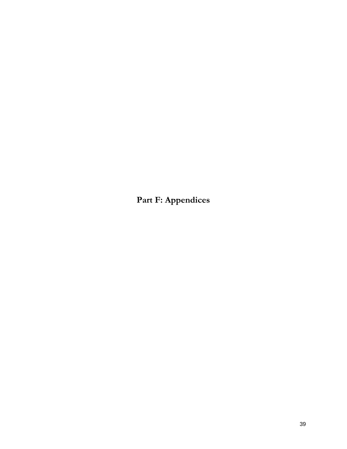<span id="page-38-0"></span>**Part F: Appendices**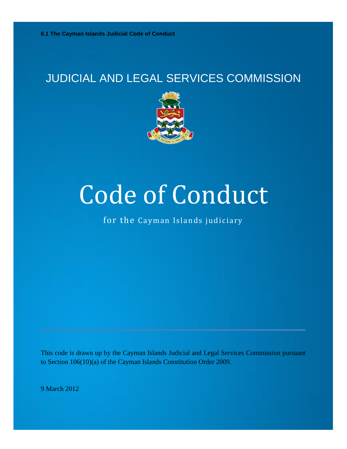## <span id="page-39-0"></span>JUDICIAL AND LEGAL SERVICES COMMISSION



# Code of Conduct

for the Cayman Islands judiciary

This code is drawn up by the Cayman Islands Judicial and Legal Services Commission pursuant to Section 106(10)(a) of the Cayman Islands Constitution Order 2009.

9 March 2012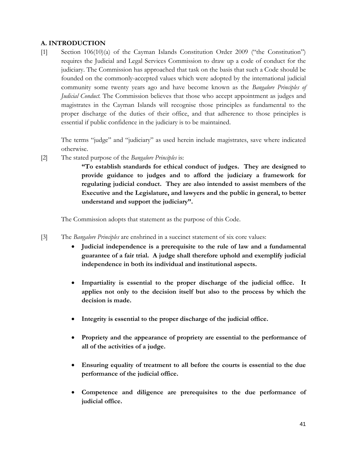#### **A. INTRODUCTION**

[1] Section 106(10)(a) of the Cayman Islands Constitution Order 2009 ("the Constitution") requires the Judicial and Legal Services Commission to draw up a code of conduct for the judiciary. The Commission has approached that task on the basis that such a Code should be founded on the commonly-accepted values which were adopted by the international judicial community some twenty years ago and have become known as the *Bangalore Principles of Judicial Conduct*. The Commission believes that those who accept appointment as judges and magistrates in the Cayman Islands will recognise those principles as fundamental to the proper discharge of the duties of their office, and that adherence to those principles is essential if public confidence in the judiciary is to be maintained.

The terms "judge" and "judiciary" as used herein include magistrates, save where indicated otherwise.

[2] The stated purpose of the *Bangalore Principles* is:

**"To establish standards for ethical conduct of judges. They are designed to provide guidance to judges and to afford the judiciary a framework for regulating judicial conduct. They are also intended to assist members of the Executive and the Legislature, and lawyers and the public in general, to better understand and support the judiciary".**

The Commission adopts that statement as the purpose of this Code.

- [3] The *Bangalore Principles* are enshrined in a succinct statement of six core values:
	- **Judicial independence is a prerequisite to the rule of law and a fundamental guarantee of a fair trial. A judge shall therefore uphold and exemplify judicial independence in both its individual and institutional aspects.**
	- **Impartiality is essential to the proper discharge of the judicial office. It applies not only to the decision itself but also to the process by which the decision is made.**
	- **Integrity is essential to the proper discharge of the judicial office.**
	- **Propriety and the appearance of propriety are essential to the performance of all of the activities of a judge.**
	- **Ensuring equality of treatment to all before the courts is essential to the due performance of the judicial office.**
	- **Competence and diligence are prerequisites to the due performance of judicial office.**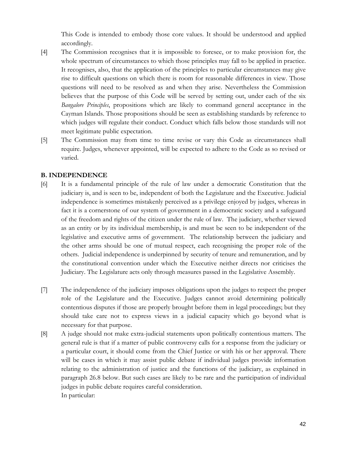This Code is intended to embody those core values. It should be understood and applied accordingly.

- [4] The Commission recognises that it is impossible to foresee, or to make provision for, the whole spectrum of circumstances to which those principles may fall to be applied in practice. It recognises, also, that the application of the principles to particular circumstances may give rise to difficult questions on which there is room for reasonable differences in view. Those questions will need to be resolved as and when they arise. Nevertheless the Commission believes that the purpose of this Code will be served by setting out, under each of the six *Bangalore Principles*, propositions which are likely to command general acceptance in the Cayman Islands. Those propositions should be seen as establishing standards by reference to which judges will regulate their conduct. Conduct which falls below those standards will not meet legitimate public expectation.
- [5] The Commission may from time to time revise or vary this Code as circumstances shall require. Judges, whenever appointed, will be expected to adhere to the Code as so revised or varied.

#### **B. INDEPENDENCE**

- [6] It is a fundamental principle of the rule of law under a democratic Constitution that the judiciary is, and is seen to be, independent of both the Legislature and the Executive. Judicial independence is sometimes mistakenly perceived as a privilege enjoyed by judges, whereas in fact it is a cornerstone of our system of government in a democratic society and a safeguard of the freedom and rights of the citizen under the rule of law. The judiciary, whether viewed as an entity or by its individual membership, is and must be seen to be independent of the legislative and executive arms of government. The relationship between the judiciary and the other arms should be one of mutual respect, each recognising the proper role of the others. Judicial independence is underpinned by security of tenure and remuneration, and by the constitutional convention under which the Executive neither directs nor criticises the Judiciary. The Legislature acts only through measures passed in the Legislative Assembly.
- [7] The independence of the judiciary imposes obligations upon the judges to respect the proper role of the Legislature and the Executive. Judges cannot avoid determining politically contentious disputes if those are properly brought before them in legal proceedings; but they should take care not to express views in a judicial capacity which go beyond what is necessary for that purpose.
- [8] A judge should not make extra-judicial statements upon politically contentious matters. The general rule is that if a matter of public controversy calls for a response from the judiciary or a particular court, it should come from the Chief Justice or with his or her approval. There will be cases in which it may assist public debate if individual judges provide information relating to the administration of justice and the functions of the judiciary, as explained in paragraph 26.8 below. But such cases are likely to be rare and the participation of individual judges in public debate requires careful consideration. In particular: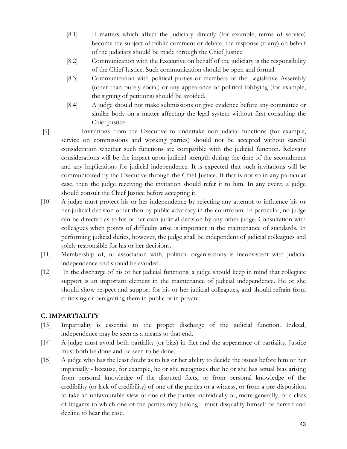- [8.1] If matters which affect the judiciary directly (for example, terms of service) become the subject of public comment or debate, the response (if any) on behalf of the judiciary should be made through the Chief Justice.
- [8.2] Communication with the Executive on behalf of the judiciary is the responsibility of the Chief Justice. Such communication should be open and formal.
- [8.3] Communication with political parties or members of the Legislative Assembly (other than purely social) or any appearance of political lobbying (for example, the signing of petitions) should be avoided.
- [8.4] A judge should not make submissions or give evidence before any committee or similar body on a matter affecting the legal system without first consulting the Chief Justice.

[9] Invitations from the Executive to undertake non-judicial functions (for example, service on commissions and working parties) should not be accepted without careful consideration whether such functions are compatible with the judicial function. Relevant considerations will be the impact upon judicial strength during the time of the secondment and any implications for judicial independence. It is expected that such invitations will be communicated by the Executive through the Chief Justice. If that is not so in any particular case, then the judge receiving the invitation should refer it to him. In any event, a judge should consult the Chief Justice before accepting it.

- [10] A judge must protect his or her independence by rejecting any attempt to influence his or her judicial decision other than by public advocacy in the courtroom. In particular, no judge can be directed as to his or her own judicial decision by any other judge. Consultation with colleagues when points of difficulty arise is important in the maintenance of standards. In performing judicial duties, however, the judge shall be independent of judicial colleagues and solely responsible for his or her decisions.
- [11] Membership of, or association with, political organisations is inconsistent with judicial independence and should be avoided.
- [12] In the discharge of his or her judicial functions, a judge should keep in mind that collegiate support is an important element in the maintenance of judicial independence. He or she should show respect and support for his or her judicial colleagues, and should refrain from criticising or denigrating them in public or in private.

#### **C. IMPARTIALITY**

- [13] Impartiality is essential to the proper discharge of the judicial function. Indeed, independence may be seen as a means to that end.
- [14] A judge must avoid both partiality (or bias) in fact and the appearance of partiality. Justice must both be done and be seen to be done.
- [15] A judge who has the least doubt as to his or her ability to decide the issues before him or her impartially - because, for example, he or she recognises that he or she has actual bias arising from personal knowledge of the disputed facts, or from personal knowledge of the credibility (or lack of credibility) of one of the parties or a witness, or from a pre-disposition to take an unfavourable view of one of the parties individually or, more generally, of a class of litigants to which one of the parties may belong - must disqualify himself or herself and decline to hear the case.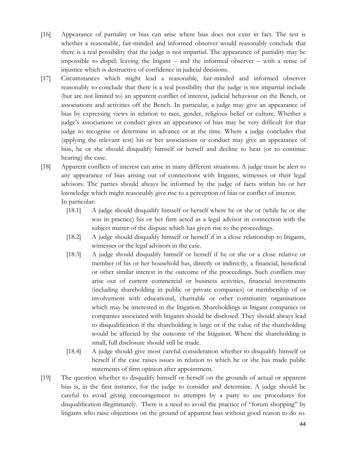- [16] Appearance of partiality or bias can arise where bias does not exist in fact. The test is whether a reasonable, fair-minded and informed observer would reasonably conclude that there is a real possibility that the judge is not impartial. The appearance of partiality may be impossible to dispel: leaving the litigant – and the informed observer – with a sense of injustice which is destructive of confidence in judicial decisions.
- [17] Circumstances which might lead a reasonable, fair-minded and informed observer reasonably to conclude that there is a real possibility that the judge is not impartial include (but are not limited to) an apparent conflict of interest, judicial behaviour on the Bench, or associations and activities off the Bench. In particular, a judge may give an appearance of bias by expressing views in relation to race, gender, religious belief or culture. Whether a judge's associations or conduct gives an appearance of bias may be very difficult for that judge to recognise or determine in advance or at the time. Where a judge concludes that (applying the relevant test) his or her associations or conduct may give an appearance of bias, he or she should disqualify himself or herself and decline to hear (or to continue hearing) the case.
- [18] Apparent conflicts of interest can arise in many different situations. A judge must be alert to any appearance of bias arising out of connections with litigants, witnesses or their legal advisors. The parties should always be informed by the judge of facts within his or her knowledge which might reasonably give rise to a perception of bias or conflict of interest. In particular:
	- [18.1] A judge should disqualify himself or herself where he or she or (while he or she was in practice) his or her firm acted as a legal advisor in connection with the subject matter of the dispute which has given rise to the proceedings.
	- [18.2] A judge should disqualify himself or herself if in a close relationship to litigants, witnesses or the legal advisors in the case.
	- [18.3] A judge should disqualify himself or herself if he or she or a close relative or member of his or her household has, directly or indirectly, a financial, beneficial or other similar interest in the outcome of the proceedings. Such conflicts may arise out of current commercial or business activities, financial investments (including shareholding in public or private companies) or membership of or involvement with educational, charitable or other community organisations which may be interested in the litigation. Shareholdings in litigant companies or companies associated with litigants should be disclosed. They should always lead to disqualification if the shareholding is large or if the value of the shareholding would be affected by the outcome of the litigation. Where the shareholding is small, full disclosure should still be made.
	- [18.4] A judge should give most careful consideration whether to disqualify himself or herself if the case raises issues in relation to which he or she has made public statements of firm opinion after appointment.
- [19] The question whether to disqualify himself or herself on the grounds of actual or apparent bias is, in the first instance, for the judge to consider and determine. A judge should be careful to avoid giving encouragement to attempts by a party to use procedures for disqualification illegitimately. There is a need to avoid the practice of "forum shopping" by litigants who raise objections on the ground of apparent bias without good reason to do so.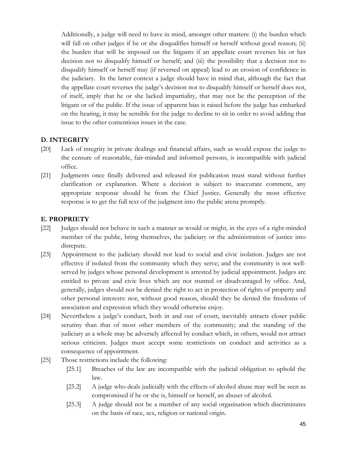Additionally, a judge will need to have in mind, amongst other matters: (i) the burden which will fall on other judges if he or she disqualifies himself or herself without good reason; (ii) the burden that will be imposed on the litigants if an appellate court reverses his or her decision not to disqualify himself or herself; and (iii) the possibility that a decision not to disqualify himself or herself may (if reversed on appeal) lead to an erosion of confidence in the judiciary. In the latter context a judge should have in mind that, although the fact that the appellate court reverses the judge's decision not to disqualify himself or herself does not, of itself, imply that he or she lacked impartiality, that may not be the perception of the litigant or of the public. If the issue of apparent bias is raised before the judge has embarked on the hearing, it may be sensible for the judge to decline to sit in order to avoid adding that issue to the other contentious issues in the case.

#### **D. INTEGRITY**

- [20] Lack of integrity in private dealings and financial affairs, such as would expose the judge to the censure of reasonable, fair-minded and informed persons, is incompatible with judicial office.
- [21] Judgments once finally delivered and released for publication must stand without further clarification or explanation. Where a decision is subject to inaccurate comment, any appropriate response should be from the Chief Justice. Generally the most effective response is to get the full text of the judgment into the public arena promptly.

#### **E. PROPRIETY**

- [22] Judges should not behave in such a manner as would or might, in the eyes of a right-minded member of the public, bring themselves, the judiciary or the administration of justice into disrepute.
- [23] Appointment to the judiciary should not lead to social and civic isolation. Judges are not effective if isolated from the community which they serve; and the community is not wellserved by judges whose personal development is arrested by judicial appointment. Judges are entitled to private and civic lives which are not stunted or disadvantaged by office. And, generally, judges should not be denied the right to act in protection of rights of property and other personal interests: nor, without good reason, should they be denied the freedoms of association and expression which they would otherwise enjoy.
- [24] Nevertheless a judge's conduct, both in and out of court, inevitably attracts closer public scrutiny than that of most other members of the community; and the standing of the judiciary as a whole may be adversely affected by conduct which, in others, would not attract serious criticism. Judges must accept some restrictions on conduct and activities as a consequence of appointment.
- [25] Those restrictions include the following:
	- [25.1] Breaches of the law are incompatible with the judicial obligation to uphold the law.
	- [25.2] A judge who deals judicially with the effects of alcohol abuse may well be seen as compromised if he or she is, himself or herself, an abuser of alcohol.
	- [25.3] A judge should not be a member of any social organisation which discriminates on the basis of race, sex, religion or national origin.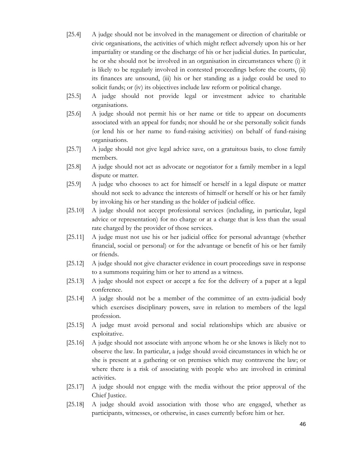- [25.4] A judge should not be involved in the management or direction of charitable or civic organisations, the activities of which might reflect adversely upon his or her impartiality or standing or the discharge of his or her judicial duties. In particular, he or she should not be involved in an organisation in circumstances where (i) it is likely to be regularly involved in contested proceedings before the courts, (ii) its finances are unsound, (iii) his or her standing as a judge could be used to solicit funds; or (iv) its objectives include law reform or political change.
- [25.5] A judge should not provide legal or investment advice to charitable organisations.
- [25.6] A judge should not permit his or her name or title to appear on documents associated with an appeal for funds; nor should he or she personally solicit funds (or lend his or her name to fund-raising activities) on behalf of fund-raising organisations.
- [25.7] A judge should not give legal advice save, on a gratuitous basis, to close family members.
- [25.8] A judge should not act as advocate or negotiator for a family member in a legal dispute or matter.
- [25.9] A judge who chooses to act for himself or herself in a legal dispute or matter should not seek to advance the interests of himself or herself or his or her family by invoking his or her standing as the holder of judicial office.
- [25.10] A judge should not accept professional services (including, in particular, legal advice or representation) for no charge or at a charge that is less than the usual rate charged by the provider of those services.
- [25.11] A judge must not use his or her judicial office for personal advantage (whether financial, social or personal) or for the advantage or benefit of his or her family or friends.
- [25.12] A judge should not give character evidence in court proceedings save in response to a summons requiring him or her to attend as a witness.
- [25.13] A judge should not expect or accept a fee for the delivery of a paper at a legal conference.
- [25.14] A judge should not be a member of the committee of an extra-judicial body which exercises disciplinary powers, save in relation to members of the legal profession.
- [25.15] A judge must avoid personal and social relationships which are abusive or exploitative.
- [25.16] A judge should not associate with anyone whom he or she knows is likely not to observe the law. In particular, a judge should avoid circumstances in which he or she is present at a gathering or on premises which may contravene the law; or where there is a risk of associating with people who are involved in criminal activities.
- [25.17] A judge should not engage with the media without the prior approval of the Chief Justice.
- [25.18] A judge should avoid association with those who are engaged, whether as participants, witnesses, or otherwise, in cases currently before him or her.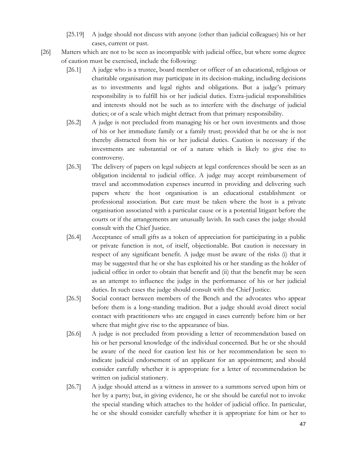- [25.19] A judge should not discuss with anyone (other than judicial colleagues) his or her cases, current or past.
- [26] Matters which are not to be seen as incompatible with judicial office, but where some degree of caution must be exercised, include the following:
	- [26.1] A judge who is a trustee, board member or officer of an educational, religious or charitable organisation may participate in its decision-making, including decisions as to investments and legal rights and obligations. But a judge's primary responsibility is to fulfill his or her judicial duties. Extra-judicial responsibilities and interests should not be such as to interfere with the discharge of judicial duties; or of a scale which might detract from that primary responsibility.
	- [26.2] A judge is not precluded from managing his or her own investments and those of his or her immediate family or a family trust; provided that he or she is not thereby distracted from his or her judicial duties. Caution is necessary if the investments are substantial or of a nature which is likely to give rise to controversy.
	- [26.3] The delivery of papers on legal subjects at legal conferences should be seen as an obligation incidental to judicial office. A judge may accept reimbursement of travel and accommodation expenses incurred in providing and delivering such papers where the host organisation is an educational establishment or professional association. But care must be taken where the host is a private organisation associated with a particular cause or is a potential litigant before the courts or if the arrangements are unusually lavish. In such cases the judge should consult with the Chief Justice.
	- [26.4] Acceptance of small gifts as a token of appreciation for participating in a public or private function is not, of itself, objectionable. But caution is necessary in respect of any significant benefit. A judge must be aware of the risks (i) that it may be suggested that he or she has exploited his or her standing as the holder of judicial office in order to obtain that benefit and (ii) that the benefit may be seen as an attempt to influence the judge in the performance of his or her judicial duties. In such cases the judge should consult with the Chief Justice.
	- [26.5] Social contact between members of the Bench and the advocates who appear before them is a long-standing tradition. But a judge should avoid direct social contact with practitioners who are engaged in cases currently before him or her where that might give rise to the appearance of bias.
	- [26.6] A judge is not precluded from providing a letter of recommendation based on his or her personal knowledge of the individual concerned. But he or she should be aware of the need for caution lest his or her recommendation be seen to indicate judicial endorsement of an applicant for an appointment; and should consider carefully whether it is appropriate for a letter of recommendation be written on judicial stationery.
	- [26.7] A judge should attend as a witness in answer to a summons served upon him or her by a party; but, in giving evidence, he or she should be careful not to invoke the special standing which attaches to the holder of judicial office. In particular, he or she should consider carefully whether it is appropriate for him or her to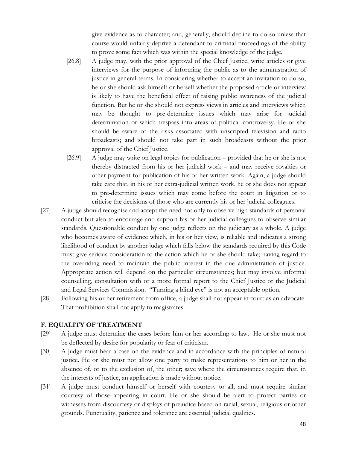give evidence as to character; and, generally, should decline to do so unless that course would unfairly deprive a defendant to criminal proceedings of the ability to prove some fact which was within the special knowledge of the judge.

- [26.8] A judge may, with the prior approval of the Chief Justice, write articles or give interviews for the purpose of informing the public as to the administration of justice in general terms. In considering whether to accept an invitation to do so, he or she should ask himself or herself whether the proposed article or interview is likely to have the beneficial effect of raising public awareness of the judicial function. But he or she should not express views in articles and interviews which may be thought to pre-determine issues which may arise for judicial determination or which trespass into areas of political controversy. He or she should be aware of the risks associated with unscripted television and radio broadcasts; and should not take part in such broadcasts without the prior approval of the Chief Justice.
- [26.9] A judge may write on legal topics for publication provided that he or she is not thereby distracted from his or her judicial work – and may receive royalties or other payment for publication of his or her written work. Again, a judge should take care that, in his or her extra-judicial written work, he or she does not appear to pre-determine issues which may come before the court in litigation or to criticise the decisions of those who are currently his or her judicial colleagues.
- [27] A judge should recognise and accept the need not only to observe high standards of personal conduct but also to encourage and support his or her judicial colleagues to observe similar standards. Questionable conduct by one judge reflects on the judiciary as a whole. A judge who becomes aware of evidence which, in his or her view, is reliable and indicates a strong likelihood of conduct by another judge which falls below the standards required by this Code must give serious consideration to the action which he or she should take; having regard to the overriding need to maintain the public interest in the due administration of justice. Appropriate action will depend on the particular circumstances; but may involve informal counselling, consultation with or a more formal report to the Chief Justice or the Judicial and Legal Services Commission. "Turning a blind eye" is not an acceptable option.
- [28] Following his or her retirement from office, a judge shall not appear in court as an advocate. That prohibition shall not apply to magistrates.

#### **F. EQUALITY OF TREATMENT**

- [29] A judge must determine the cases before him or her according to law. He or she must not be deflected by desire for popularity or fear of criticism.
- [30] A judge must hear a case on the evidence and in accordance with the principles of natural justice. He or she must not allow one party to make representations to him or her in the absence of, or to the exclusion of, the other; save where the circumstances require that, in the interests of justice, an application is made without notice.
- [31] A judge must conduct himself or herself with courtesy to all, and must require similar courtesy of those appearing in court. He or she should be alert to protect parties or witnesses from discourtesy or displays of prejudice based on racial, sexual, religious or other grounds. Punctuality, patience and tolerance are essential judicial qualities.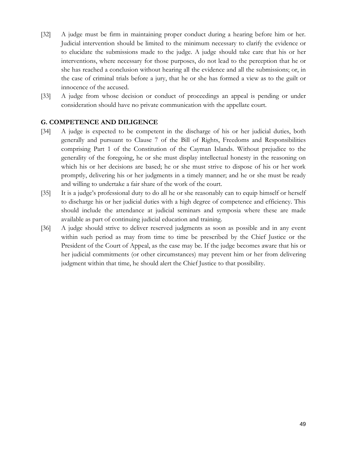- [32] A judge must be firm in maintaining proper conduct during a hearing before him or her. Judicial intervention should be limited to the minimum necessary to clarify the evidence or to elucidate the submissions made to the judge. A judge should take care that his or her interventions, where necessary for those purposes, do not lead to the perception that he or she has reached a conclusion without hearing all the evidence and all the submissions; or, in the case of criminal trials before a jury, that he or she has formed a view as to the guilt or innocence of the accused.
- [33] A judge from whose decision or conduct of proceedings an appeal is pending or under consideration should have no private communication with the appellate court.

#### **G. COMPETENCE AND DILIGENCE**

- [34] A judge is expected to be competent in the discharge of his or her judicial duties, both generally and pursuant to Clause 7 of the Bill of Rights, Freedoms and Responsibilities comprising Part 1 of the Constitution of the Cayman Islands. Without prejudice to the generality of the foregoing, he or she must display intellectual honesty in the reasoning on which his or her decisions are based; he or she must strive to dispose of his or her work promptly, delivering his or her judgments in a timely manner; and he or she must be ready and willing to undertake a fair share of the work of the court.
- [35] It is a judge's professional duty to do all he or she reasonably can to equip himself or herself to discharge his or her judicial duties with a high degree of competence and efficiency. This should include the attendance at judicial seminars and symposia where these are made available as part of continuing judicial education and training.
- [36] A judge should strive to deliver reserved judgments as soon as possible and in any event within such period as may from time to time be prescribed by the Chief Justice or the President of the Court of Appeal, as the case may be. If the judge becomes aware that his or her judicial commitments (or other circumstances) may prevent him or her from delivering judgment within that time, he should alert the Chief Justice to that possibility.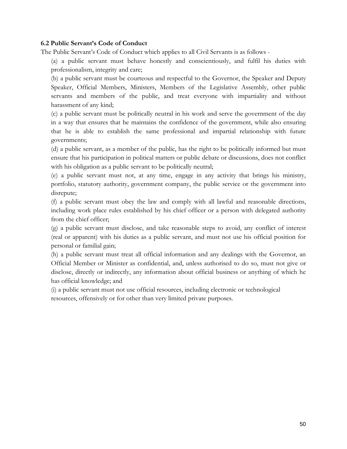#### <span id="page-49-0"></span>**6.2 Public Servant's Code of Conduct**

The Public Servant's Code of Conduct which applies to all Civil Servants is as follows -

(a) a public servant must behave honestly and conscientiously, and fulfil his duties with professionalism, integrity and care;

(b) a public servant must be courteous and respectful to the Governor, the Speaker and Deputy Speaker, Official Members, Ministers, Members of the Legislative Assembly, other public servants and members of the public, and treat everyone with impartiality and without harassment of any kind;

(c) a public servant must be politically neutral in his work and serve the government of the day in a way that ensures that he maintains the confidence of the government, while also ensuring that he is able to establish the same professional and impartial relationship with future governments;

(d) a public servant, as a member of the public, has the right to be politically informed but must ensure that his participation in political matters or public debate or discussions, does not conflict with his obligation as a public servant to be politically neutral;

(e) a public servant must not, at any time, engage in any activity that brings his ministry, portfolio, statutory authority, government company, the public service or the government into disrepute;

(f) a public servant must obey the law and comply with all lawful and reasonable directions, including work place rules established by his chief officer or a person with delegated authority from the chief officer;

(g) a public servant must disclose, and take reasonable steps to avoid, any conflict of interest (real or apparent) with his duties as a public servant, and must not use his official position for personal or familial gain;

(h) a public servant must treat all official information and any dealings with the Governor, an Official Member or Minister as confidential, and, unless authorised to do so, must not give or disclose, directly or indirectly, any information about official business or anything of which he has official knowledge; and

(i) a public servant must not use official resources, including electronic or technological resources, offensively or for other than very limited private purposes.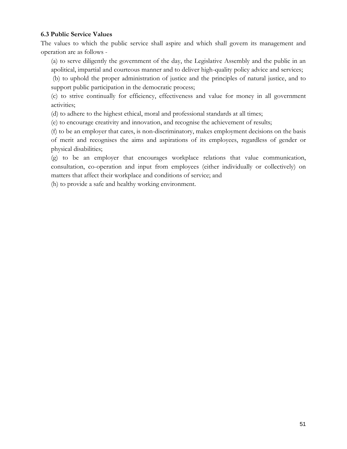#### <span id="page-50-0"></span>**6.3 Public Service Values**

The values to which the public service shall aspire and which shall govern its management and operation are as follows -

(a) to serve diligently the government of the day, the Legislative Assembly and the public in an apolitical, impartial and courteous manner and to deliver high-quality policy advice and services;

(b) to uphold the proper administration of justice and the principles of natural justice, and to support public participation in the democratic process;

(c) to strive continually for efficiency, effectiveness and value for money in all government activities;

(d) to adhere to the highest ethical, moral and professional standards at all times;

(e) to encourage creativity and innovation, and recognise the achievement of results;

(f) to be an employer that cares, is non-discriminatory, makes employment decisions on the basis of merit and recognises the aims and aspirations of its employees, regardless of gender or physical disabilities;

(g) to be an employer that encourages workplace relations that value communication, consultation, co-operation and input from employees (either individually or collectively) on matters that affect their workplace and conditions of service; and

(h) to provide a safe and healthy working environment.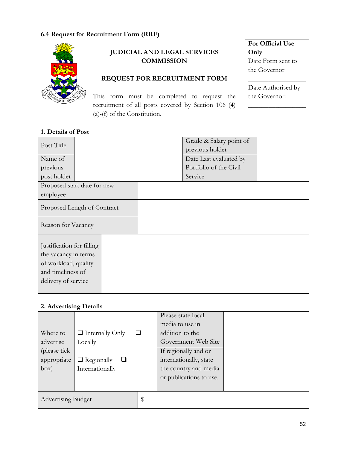#### <span id="page-51-0"></span>**6.4 Request for Recruitment Form (RRF)**



#### **JUDICIAL AND LEGAL SERVICES COMMISSION**

#### **REQUEST FOR RECRUITMENT FORM**

This form must be completed to request the recruitment of all posts covered by Section 106 (4) (a)-(f) of the Constitution.

**For Official Use Only** Date Form sent to the Governor

Date Authorised by the Governor:

 $\frac{1}{2}$  ,  $\frac{1}{2}$  ,  $\frac{1}{2}$  ,  $\frac{1}{2}$  ,  $\frac{1}{2}$  ,  $\frac{1}{2}$  ,  $\frac{1}{2}$ 

 $\frac{1}{2}$  ,  $\frac{1}{2}$  ,  $\frac{1}{2}$  ,  $\frac{1}{2}$  ,  $\frac{1}{2}$  ,  $\frac{1}{2}$  ,  $\frac{1}{2}$ 

| 1. Details of Post                                                                                                    |                             |                                            |  |
|-----------------------------------------------------------------------------------------------------------------------|-----------------------------|--------------------------------------------|--|
| Post Title                                                                                                            |                             | Grade & Salary point of<br>previous holder |  |
| Name of                                                                                                               |                             | Date Last evaluated by                     |  |
| previous                                                                                                              |                             | Portfolio of the Civil                     |  |
| post holder                                                                                                           |                             | Service                                    |  |
|                                                                                                                       | Proposed start date for new |                                            |  |
| employee                                                                                                              |                             |                                            |  |
| Proposed Length of Contract                                                                                           |                             |                                            |  |
| Reason for Vacancy                                                                                                    |                             |                                            |  |
| Justification for filling<br>the vacancy in terms<br>of workload, quality<br>and timeliness of<br>delivery of service |                             |                                            |  |

#### **2. Advertising Details**

| Where to<br>advertise<br>(please tick)<br>appropriate<br>box) | $\Box$ Internally Only<br>Locally<br>$\Box$ Regionally | Please state local<br>media to use in<br>addition to the<br>Government Web Site<br>If regionally and or<br>internationally, state |  |
|---------------------------------------------------------------|--------------------------------------------------------|-----------------------------------------------------------------------------------------------------------------------------------|--|
| <b>Advertising Budget</b>                                     | Internationally                                        | \$<br>the country and media<br>or publications to use.                                                                            |  |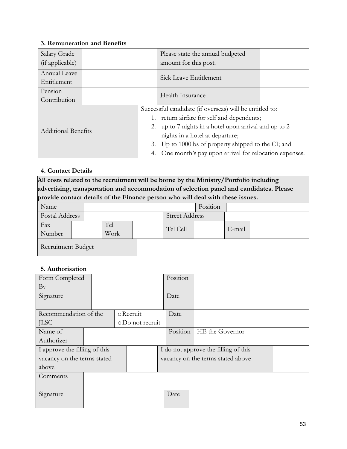#### **3. Remuneration and Benefits**

| Salary Grade<br>(if applicable) |  |    | Please state the annual budgeted<br>amount for this post.                                                                                                                                                                                                                                                         |  |
|---------------------------------|--|----|-------------------------------------------------------------------------------------------------------------------------------------------------------------------------------------------------------------------------------------------------------------------------------------------------------------------|--|
| Annual Leave<br>Entitlement     |  |    | Sick Leave Entitlement                                                                                                                                                                                                                                                                                            |  |
| Pension<br>Contribution         |  |    | Health Insurance                                                                                                                                                                                                                                                                                                  |  |
| <b>Additional Benefits</b>      |  | 1. | Successful candidate (if overseas) will be entitled to:<br>return airfare for self and dependents;<br>2. up to 7 nights in a hotel upon arrival and up to 2<br>nights in a hotel at departure;<br>3. Up to 1000lbs of property shipped to the CI; and<br>4. One month's pay upon arrival for relocation expenses. |  |

#### **4. Contact Details**

| All costs related to the recruitment will be borne by the Ministry/Portfolio including  |  |  |                       |  |          |  |        |  |
|-----------------------------------------------------------------------------------------|--|--|-----------------------|--|----------|--|--------|--|
| advertising, transportation and accommodation of selection panel and candidates. Please |  |  |                       |  |          |  |        |  |
| provide contact details of the Finance person who will deal with these issues.          |  |  |                       |  |          |  |        |  |
| Name                                                                                    |  |  |                       |  | Position |  |        |  |
| Postal Address                                                                          |  |  | <b>Street Address</b> |  |          |  |        |  |
| Fax                                                                                     |  |  | Tel                   |  | Tel Cell |  | E-mail |  |
| Number                                                                                  |  |  | Work                  |  |          |  |        |  |

Recruitment Budget

#### **5. Authorisation**

| Form Completed                |  |                  | Position |                                      |  |
|-------------------------------|--|------------------|----------|--------------------------------------|--|
| $\rm{By}$                     |  |                  |          |                                      |  |
| Signature                     |  |                  | Date     |                                      |  |
|                               |  |                  |          |                                      |  |
| Recommendation of the         |  | o Recruit        | Date     |                                      |  |
| <b>JLSC</b>                   |  | o Do not recruit |          |                                      |  |
| Name of                       |  |                  | Position | HE the Governor                      |  |
| Authorizer                    |  |                  |          |                                      |  |
| I approve the filling of this |  |                  |          | I do not approve the filling of this |  |
| vacancy on the terms stated   |  |                  |          | vacancy on the terms stated above    |  |
| above                         |  |                  |          |                                      |  |
| Comments                      |  |                  |          |                                      |  |
|                               |  |                  |          |                                      |  |
| Signature                     |  |                  | Date     |                                      |  |
|                               |  |                  |          |                                      |  |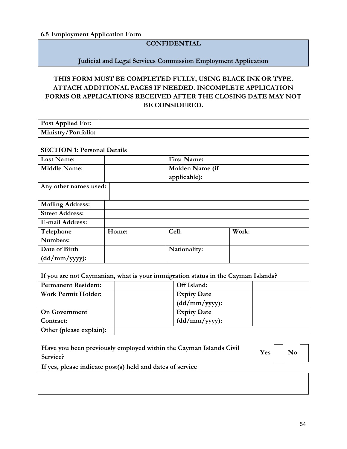#### <span id="page-53-0"></span>**6.5 Employment Application Form**

#### **CONFIDENTIAL**

#### **Judicial and Legal Services Commission Employment Application**

#### **THIS FORM MUST BE COMPLETED FULLY, USING BLACK INK OR TYPE. ATTACH ADDITIONAL PAGES IF NEEDED. INCOMPLETE APPLICATION FORMS OR APPLICATIONS RECEIVED AFTER THE CLOSING DATE MAY NOT BE CONSIDERED.**

| <b>Post Applied For:</b>   |  |
|----------------------------|--|
| <b>Ministry/Portfolio:</b> |  |

#### **SECTION 1: Personal Details**

| <b>Last Name:</b>       |       | <b>First Name:</b> |       |
|-------------------------|-------|--------------------|-------|
| <b>Middle Name:</b>     |       | Maiden Name (if    |       |
|                         |       | applicable):       |       |
| Any other names used:   |       |                    |       |
|                         |       |                    |       |
| <b>Mailing Address:</b> |       |                    |       |
| <b>Street Address:</b>  |       |                    |       |
| <b>E-mail Address:</b>  |       |                    |       |
| Telephone               | Home: | Cell:              | Work: |
| Numbers:                |       |                    |       |
| Date of Birth           |       | Nationality:       |       |
| $(dd/mm/yyyy)$ :        |       |                    |       |

**If you are not Caymanian, what is your immigration status in the Cayman Islands?**

| <b>Permanent Resident:</b> | Off Island:        |
|----------------------------|--------------------|
| Work Permit Holder:        | <b>Expiry Date</b> |
|                            | $(dd/mm/yyyy)$ :   |
| <b>On Government</b>       | <b>Expiry Date</b> |
| Contract:                  | $(dd/mm/yyyy)$ :   |
| Other (please explain):    |                    |

**Have you been previously employed within the Cayman Islands Civil**  $\begin{array}{c|c} \text{Yes} & \text{Yes} & \text{No} \end{array}$ 

**If yes, please indicate post(s) held and dates of service**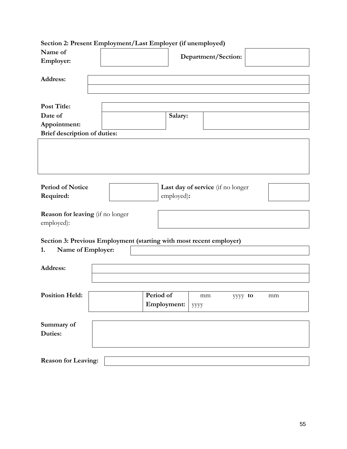|                                  | Section 2: Present Employment/Last Employer (if unemployed)         |  |
|----------------------------------|---------------------------------------------------------------------|--|
| Name of                          |                                                                     |  |
| Employer:                        | Department/Section:                                                 |  |
|                                  |                                                                     |  |
| Address:                         |                                                                     |  |
|                                  |                                                                     |  |
|                                  |                                                                     |  |
| <b>Post Title:</b>               |                                                                     |  |
| Date of                          | Salary:                                                             |  |
| Appointment:                     |                                                                     |  |
| Brief description of duties:     |                                                                     |  |
|                                  |                                                                     |  |
|                                  |                                                                     |  |
|                                  |                                                                     |  |
|                                  |                                                                     |  |
|                                  |                                                                     |  |
| <b>Period of Notice</b>          | Last day of service (if no longer                                   |  |
| Required:                        | employed):                                                          |  |
|                                  |                                                                     |  |
| Reason for leaving (if no longer |                                                                     |  |
| employed):                       |                                                                     |  |
|                                  |                                                                     |  |
|                                  | Section 3: Previous Employment (starting with most recent employer) |  |
| Name of Employer:<br>1.          |                                                                     |  |
|                                  |                                                                     |  |
| Address:                         |                                                                     |  |
|                                  |                                                                     |  |
|                                  |                                                                     |  |
| <b>Position Held:</b>            | Period of<br>mm<br>yyyy to<br>mm                                    |  |
|                                  | Employment:<br>уууу                                                 |  |
|                                  |                                                                     |  |
|                                  |                                                                     |  |
| Summary of                       |                                                                     |  |
| Duties:                          |                                                                     |  |
|                                  |                                                                     |  |
|                                  |                                                                     |  |
| <b>Reason for Leaving:</b>       |                                                                     |  |
|                                  |                                                                     |  |

55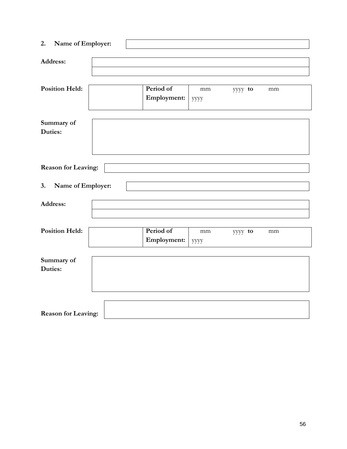| Name of Employer:<br>2.    |                          |                   |         |    |
|----------------------------|--------------------------|-------------------|---------|----|
| Address:                   |                          |                   |         |    |
| <b>Position Held:</b>      | Period of<br>Employment: | mm<br><b>yyyy</b> | yyyy to | mm |
| Summary of<br>Duties:      |                          |                   |         |    |
| <b>Reason for Leaving:</b> |                          |                   |         |    |
| Name of Employer:<br>3.    |                          |                   |         |    |
| Address:                   |                          |                   |         |    |
| <b>Position Held:</b>      | Period of<br>Employment: | mm<br><b>yyyy</b> | yyyy to | mm |
| Summary of<br>Duties:      |                          |                   |         |    |
| <b>Reason for Leaving:</b> |                          |                   |         |    |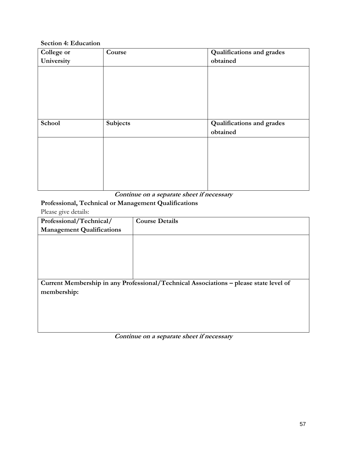#### **Section 4: Education**

| College or | Course   | <b>Qualifications and grades</b> |
|------------|----------|----------------------------------|
| University |          | obtained                         |
|            |          |                                  |
|            |          |                                  |
|            |          |                                  |
|            |          |                                  |
|            |          |                                  |
|            |          |                                  |
| School     | Subjects | <b>Qualifications and grades</b> |
|            |          | obtained                         |
|            |          |                                  |
|            |          |                                  |
|            |          |                                  |
|            |          |                                  |
|            |          |                                  |
|            |          |                                  |

#### **Continue on a separate sheet if necessary**

#### **Professional, Technical or Management Qualifications**

Please give details:

| Professional/Technical/          | <b>Course Details</b>                                                                 |
|----------------------------------|---------------------------------------------------------------------------------------|
| <b>Management Qualifications</b> |                                                                                       |
|                                  |                                                                                       |
|                                  |                                                                                       |
|                                  |                                                                                       |
|                                  |                                                                                       |
|                                  |                                                                                       |
|                                  | Current Membership in any Professional/Technical Associations - please state level of |
| membership:                      |                                                                                       |
|                                  |                                                                                       |
|                                  |                                                                                       |

**Continue on a separate sheet if necessary**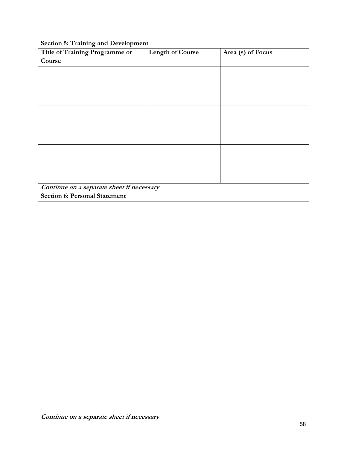#### **Section 5: Training and Development**

| Title of Training Programme or | <b>Length of Course</b> | Area (s) of Focus |
|--------------------------------|-------------------------|-------------------|
| Course                         |                         |                   |
|                                |                         |                   |
|                                |                         |                   |
|                                |                         |                   |
|                                |                         |                   |
|                                |                         |                   |
|                                |                         |                   |
|                                |                         |                   |
|                                |                         |                   |
|                                |                         |                   |
|                                |                         |                   |
|                                |                         |                   |
|                                |                         |                   |
|                                |                         |                   |

**Continue on a separate sheet if necessary Section 6: Personal Statement**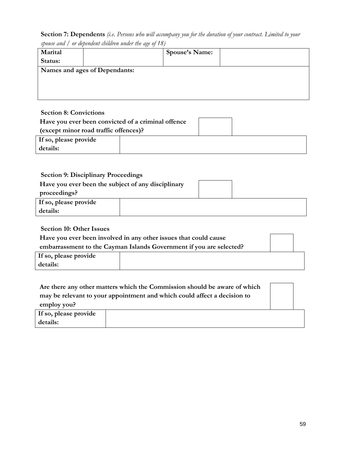#### **Section 7: Dependents** *(i.e. Persons who will accompany you for the duration of your contract. Limited to your spouse and / or dependent children under the age of 18)*

| Marital |                               | Spouse's Name: |  |
|---------|-------------------------------|----------------|--|
| Status: |                               |                |  |
|         | Names and ages of Dependants: |                |  |
|         |                               |                |  |
|         |                               |                |  |
|         |                               |                |  |
|         |                               |                |  |

#### **Section 8: Convictions**

| Have you ever been convicted of a criminal offence |  |  |
|----------------------------------------------------|--|--|
| (except minor road traffic offences)?              |  |  |
| If so, please provide                              |  |  |
| details:                                           |  |  |

#### **Section 9: Disciplinary Proceedings**

| Have you ever been the subject of any disciplinary |  |  |
|----------------------------------------------------|--|--|
| proceedings?                                       |  |  |
| If so, please provide                              |  |  |
| details:                                           |  |  |

#### **Section 10: Other Issues**

| Have you ever been involved in any other issues that could cause    |  |  |  |
|---------------------------------------------------------------------|--|--|--|
| embarrassment to the Cayman Islands Government if you are selected? |  |  |  |
| If so, please provide                                               |  |  |  |
| details:                                                            |  |  |  |

| Are there any other matters which the Commission should be aware of which |  |  |  |
|---------------------------------------------------------------------------|--|--|--|
| may be relevant to your appointment and which could affect a decision to  |  |  |  |
| employ you?                                                               |  |  |  |
| If so, please provide                                                     |  |  |  |
| details:                                                                  |  |  |  |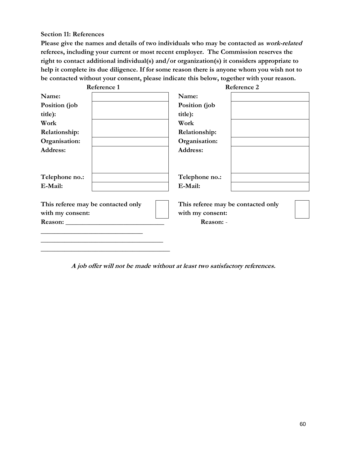**Section 11: References**

**Please give the names and details of two individuals who may be contacted as work-related referees, including your current or most recent employer. The Commission reserves the right to contact additional individual(s) and/or organization(s) it considers appropriate to help it complete its due diligence. If for some reason there is anyone whom you wish not to be contacted without your consent, please indicate this below, together with your reason.**

| Reference 1                                            | Reference 2                                            |
|--------------------------------------------------------|--------------------------------------------------------|
| Name:                                                  | Name:                                                  |
| Position (job                                          | Position (job                                          |
| title):                                                | title):                                                |
| Work                                                   | Work                                                   |
| Relationship:                                          | Relationship:                                          |
| Organisation:                                          | Organisation:                                          |
| <b>Address:</b>                                        | <b>Address:</b>                                        |
| Telephone no.:<br>E-Mail:                              | Telephone no.:<br>E-Mail:                              |
| This referee may be contacted only<br>with my consent: | This referee may be contacted only<br>with my consent: |
|                                                        | Reason: -                                              |
|                                                        |                                                        |
|                                                        |                                                        |

**A job offer will not be made without at least two satisfactory references.**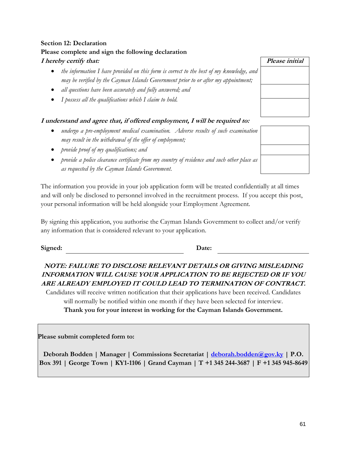The information you provide in your job application form will be treated confidentially at all times and will only be disclosed to personnel involved in the recruitment process. If you accept this post, your personal information will be held alongside your Employment Agreement.

By signing this application, you authorise the Cayman Islands Government to collect and/or verify any information that is considered relevant to your application.

**Signed: Date:**

#### **NOTE: FAILURE TO DISCLOSE RELEVANT DETAILS OR GIVING MISLEADING INFORMATION WILL CAUSE YOUR APPLICATION TO BE REJECTED OR IF YOU ARE ALREADY EMPLOYED IT COULD LEAD TO TERMINATION OF CONTRACT.**

Candidates will receive written notification that their applications have been received. Candidates will normally be notified within one month if they have been selected for interview. **Thank you for your interest in working for the Cayman Islands Government.**

**Please submit completed form to:**

**Deborah Bodden | Manager | Commissions Secretariat | [deborah.bodden@gov.ky](mailto:deborah.bodden@gov.ky) | P.O. Box 391 | George Town | KY1-1106 | Grand Cayman | T +1 345 244-3687 | F +1 345 945-8649**

### **Section 12: Declaration Please complete and sign the following declaration I hereby certify that: Please initial**

- *the information I have provided on this form is correct to the best of my knowledge, and may be verified by the Cayman Islands Government prior to or after my appointment;*
- *all questions have been accurately and fully answered; and*
- *I possess all the qualifications which I claim to hold.*

#### **I understand and agree that, if offered employment, I will be required to:**

- *undergo a pre-employment medical examination. Adverse results of such examination may result in the withdrawal of the offer of employment;*
- *provide proof of my qualifications; and*
- *provide a police clearance certificate from my country of residence and such other place as as requested by the Cayman Islands Government.*